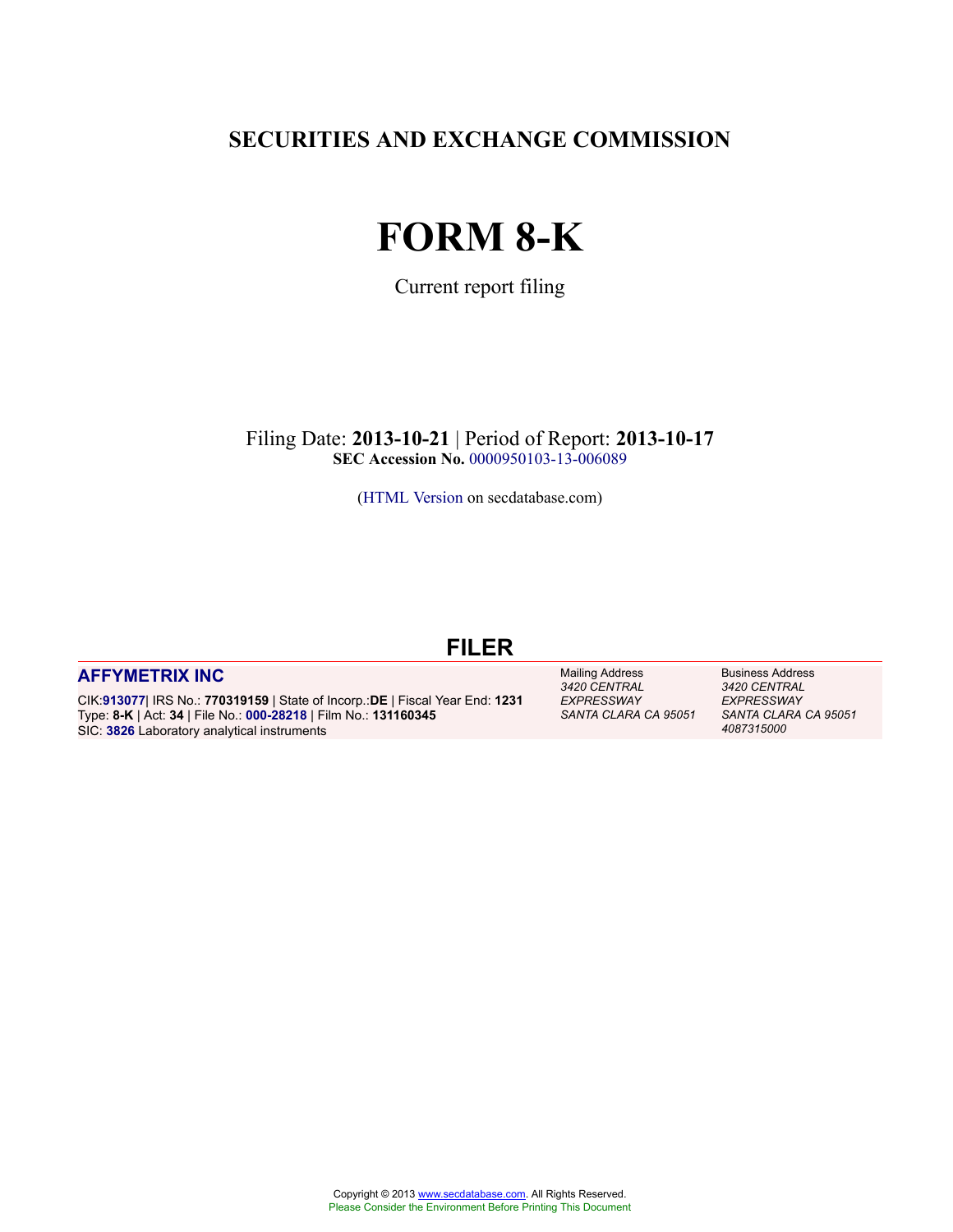**SECURITIES AND EXCHANGE COMMISSION**

# **FORM 8-K**

Current report filing

Filing Date: **2013-10-21** | Period of Report: **2013-10-17 SEC Accession No.** [0000950103-13-006089](http://www.sec.gov/Archives/edgar/data/0000913077/000095010313006089/0000950103-13-006089-index.htm)

[\(HTML Version](http://edgar.secdatabase.com/2645/95010313006089/filing-main.htm) on secdatabase.com)

# **FILER**

# **[AFFYMETRIX INC](http://www.secdatabase.com/CIK/913077)**

CIK:**[913077](http://www.secdatabase.com/CIK/913077)**| IRS No.: **770319159** | State of Incorp.:**DE** | Fiscal Year End: **1231** Type: **8-K** | Act: **34** | File No.: **[000-28218](http://www.secdatabase.com/FileNumber/28218)** | Film No.: **131160345** SIC: **[3826](http://www.secdatabase.com/SIC/3826)** Laboratory analytical instruments

Mailing Address *3420 CENTRAL EXPRESSWAY SANTA CLARA CA 95051* Business Address *3420 CENTRAL EXPRESSWAY SANTA CLARA CA 95051 4087315000*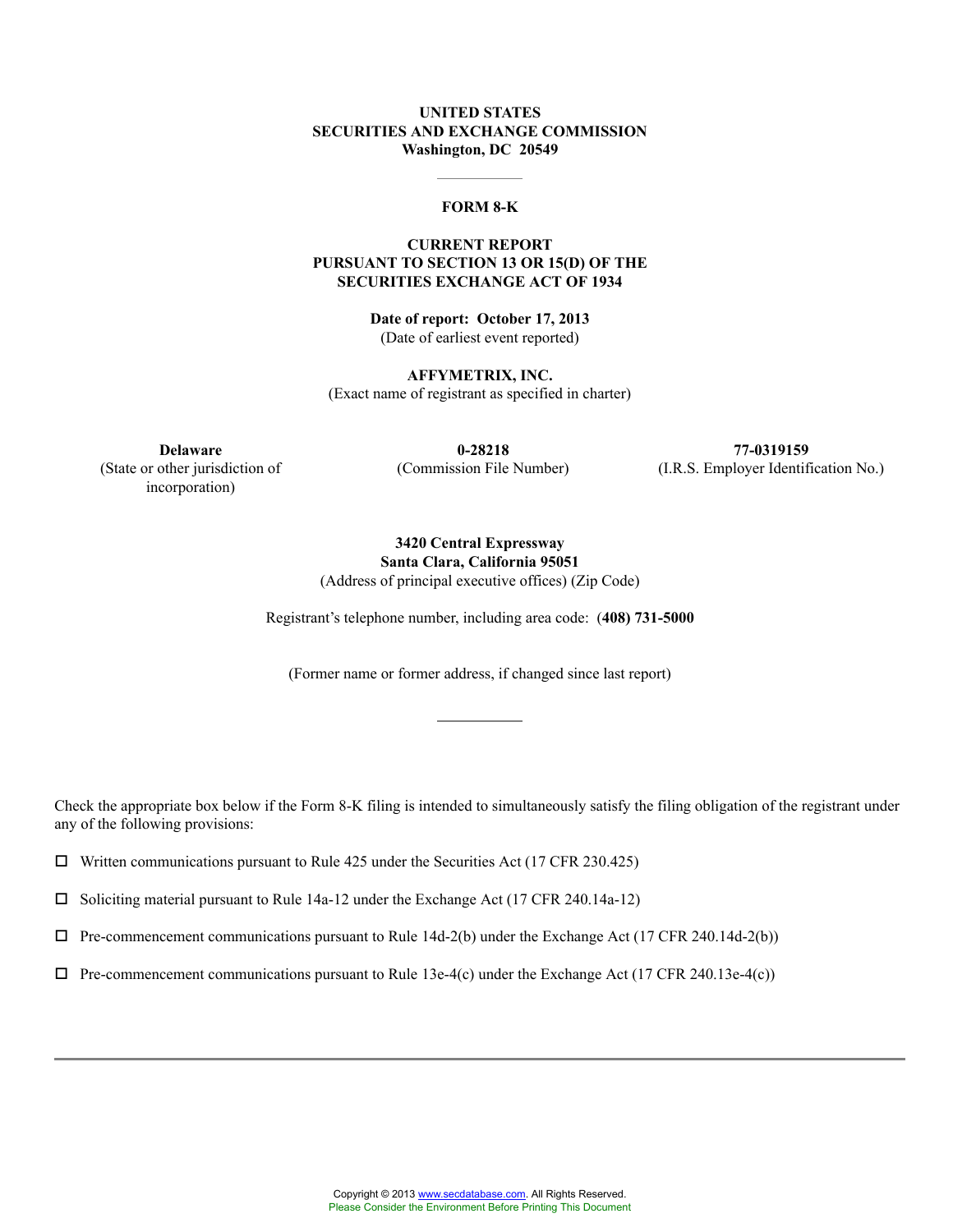# **UNITED STATES SECURITIES AND EXCHANGE COMMISSION Washington, DC 20549**

#### **FORM 8-K**

### **CURRENT REPORT PURSUANT TO SECTION 13 OR 15(D) OF THE SECURITIES EXCHANGE ACT OF 1934**

**Date of report: October 17, 2013** (Date of earliest event reported)

**AFFYMETRIX, INC.** (Exact name of registrant as specified in charter)

**Delaware 0-28218 77-0319159** (Commission File Number) (I.R.S. Employer Identification No.)

# (State or other jurisdiction of incorporation)

**3420 Central Expressway Santa Clara, California 95051**

(Address of principal executive offices) (Zip Code)

Registrant's telephone number, including area code: (**408) 731-5000**

(Former name or former address, if changed since last report)

Check the appropriate box below if the Form 8-K filing is intended to simultaneously satisfy the filing obligation of the registrant under any of the following provisions:

 $\Box$  Written communications pursuant to Rule 425 under the Securities Act (17 CFR 230.425)

 $\square$  Soliciting material pursuant to Rule 14a-12 under the Exchange Act (17 CFR 240.14a-12)

 $\Box$  Pre-commencement communications pursuant to Rule 14d-2(b) under the Exchange Act (17 CFR 240.14d-2(b))

 $\Box$  Pre-commencement communications pursuant to Rule 13e-4(c) under the Exchange Act (17 CFR 240.13e-4(c))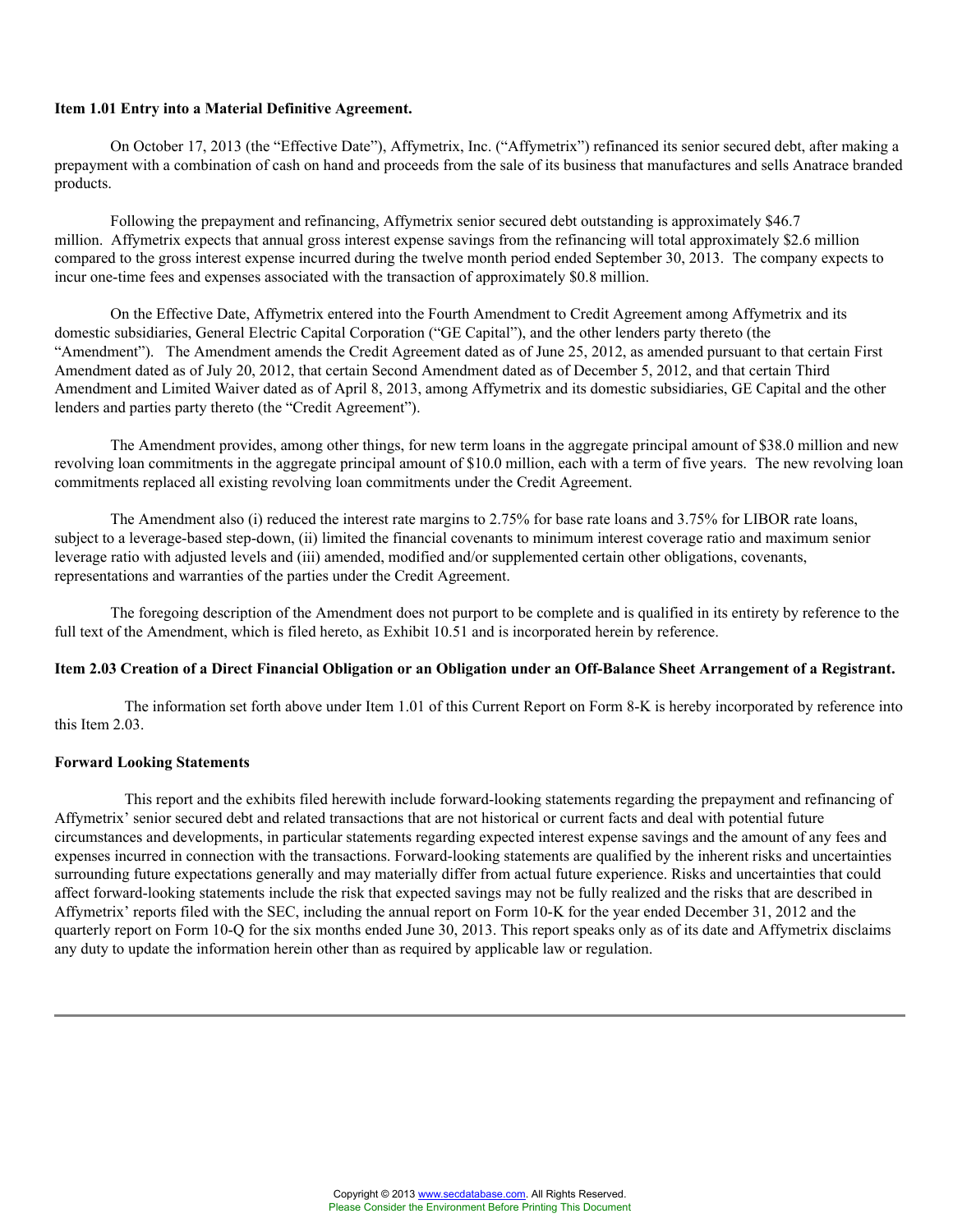#### **Item 1.01 Entry into a Material Definitive Agreement.**

On October 17, 2013 (the "Effective Date"), Affymetrix, Inc. ("Affymetrix") refinanced its senior secured debt, after making a prepayment with a combination of cash on hand and proceeds from the sale of its business that manufactures and sells Anatrace branded products.

Following the prepayment and refinancing, Affymetrix senior secured debt outstanding is approximately \$46.7 million. Affymetrix expects that annual gross interest expense savings from the refinancing will total approximately \$2.6 million compared to the gross interest expense incurred during the twelve month period ended September 30, 2013. The company expects to incur one-time fees and expenses associated with the transaction of approximately \$0.8 million.

On the Effective Date, Affymetrix entered into the Fourth Amendment to Credit Agreement among Affymetrix and its domestic subsidiaries, General Electric Capital Corporation ("GE Capital"), and the other lenders party thereto (the "Amendment"). The Amendment amends the Credit Agreement dated as of June 25, 2012, as amended pursuant to that certain First Amendment dated as of July 20, 2012, that certain Second Amendment dated as of December 5, 2012, and that certain Third Amendment and Limited Waiver dated as of April 8, 2013, among Affymetrix and its domestic subsidiaries, GE Capital and the other lenders and parties party thereto (the "Credit Agreement").

The Amendment provides, among other things, for new term loans in the aggregate principal amount of \$38.0 million and new revolving loan commitments in the aggregate principal amount of \$10.0 million, each with a term of five years. The new revolving loan commitments replaced all existing revolving loan commitments under the Credit Agreement.

The Amendment also (i) reduced the interest rate margins to 2.75% for base rate loans and 3.75% for LIBOR rate loans, subject to a leverage-based step-down, (ii) limited the financial covenants to minimum interest coverage ratio and maximum senior leverage ratio with adjusted levels and (iii) amended, modified and/or supplemented certain other obligations, covenants, representations and warranties of the parties under the Credit Agreement.

The foregoing description of the Amendment does not purport to be complete and is qualified in its entirety by reference to the full text of the Amendment, which is filed hereto, as Exhibit 10.51 and is incorporated herein by reference.

#### **Item 2.03 Creation of a Direct Financial Obligation or an Obligation under an Off-Balance Sheet Arrangement of a Registrant.**

The information set forth above under Item 1.01 of this Current Report on Form 8-K is hereby incorporated by reference into this Item 2.03.

#### **Forward Looking Statements**

This report and the exhibits filed herewith include forward-looking statements regarding the prepayment and refinancing of Affymetrix' senior secured debt and related transactions that are not historical or current facts and deal with potential future circumstances and developments, in particular statements regarding expected interest expense savings and the amount of any fees and expenses incurred in connection with the transactions. Forward-looking statements are qualified by the inherent risks and uncertainties surrounding future expectations generally and may materially differ from actual future experience. Risks and uncertainties that could affect forward-looking statements include the risk that expected savings may not be fully realized and the risks that are described in Affymetrix' reports filed with the SEC, including the annual report on Form 10-K for the year ended December 31, 2012 and the quarterly report on Form 10-Q for the six months ended June 30, 2013. This report speaks only as of its date and Affymetrix disclaims any duty to update the information herein other than as required by applicable law or regulation.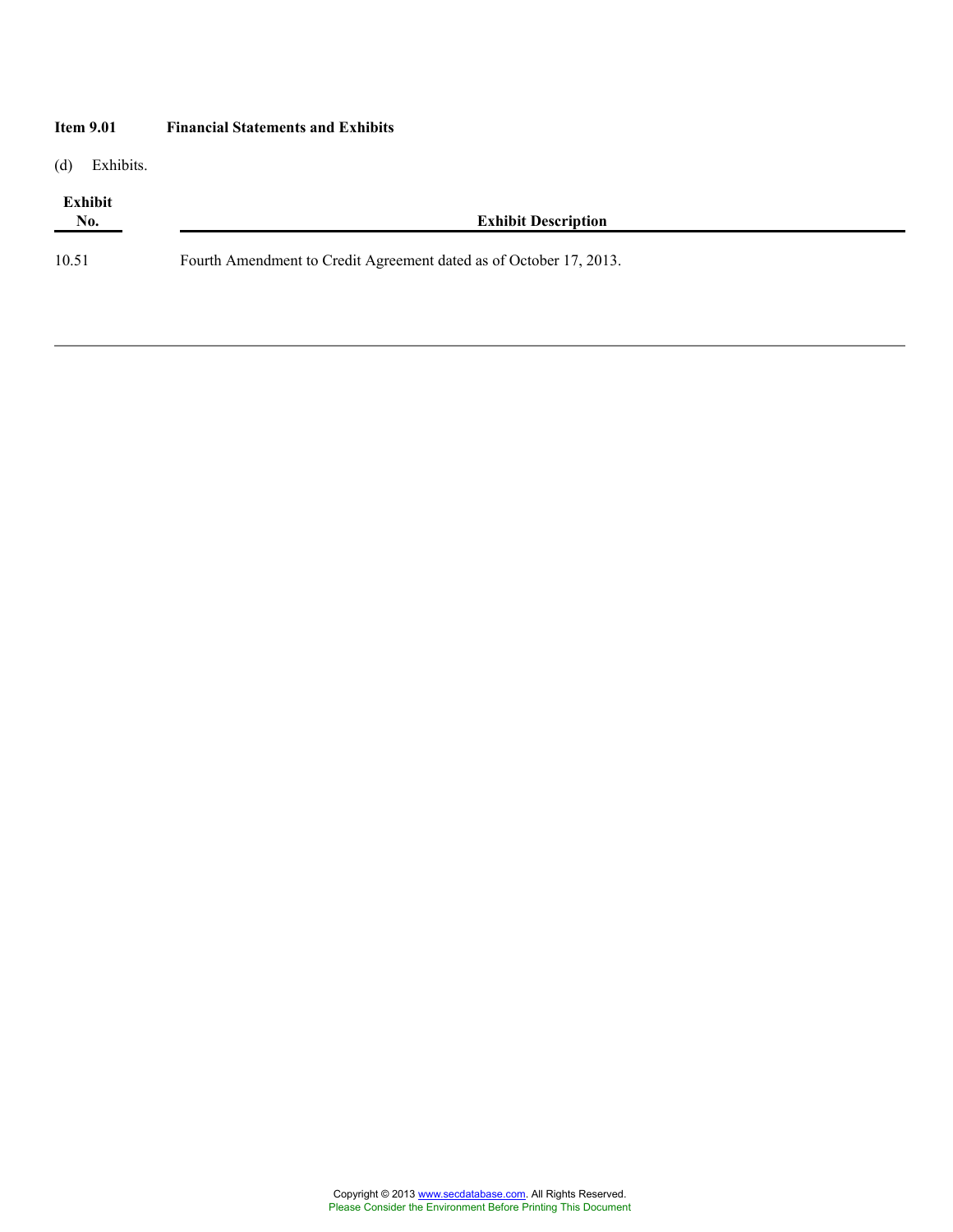| <b>Item 9.01</b>    | <b>Financial Statements and Exhibits</b>                           |  |
|---------------------|--------------------------------------------------------------------|--|
| (d)<br>Exhibits.    |                                                                    |  |
| Exhibit<br>$N_{0.}$ | <b>Exhibit Description</b>                                         |  |
| 10.51               | Fourth Amendment to Credit Agreement dated as of October 17, 2013. |  |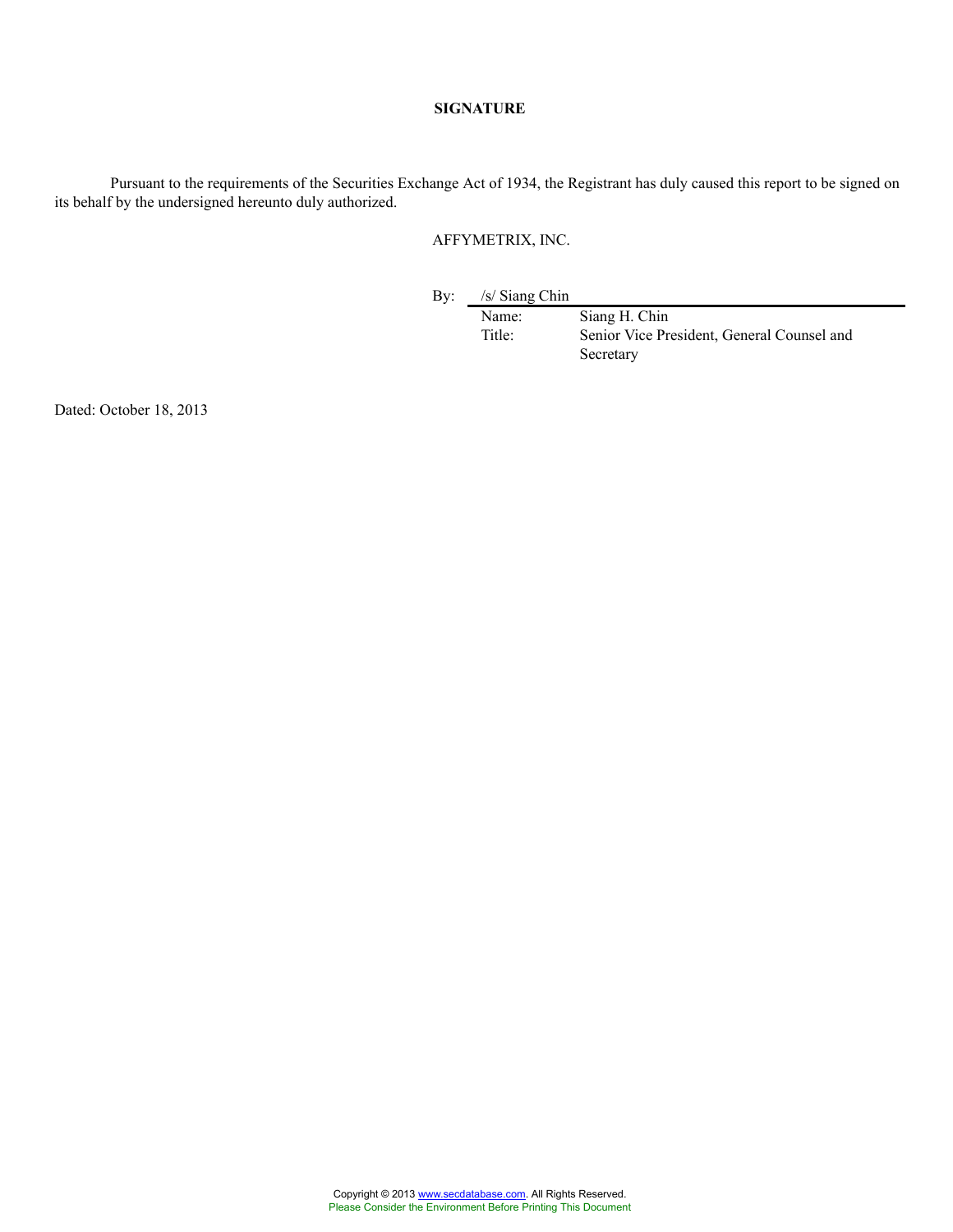### **SIGNATURE**

Pursuant to the requirements of the Securities Exchange Act of 1934, the Registrant has duly caused this report to be signed on its behalf by the undersigned hereunto duly authorized.

# AFFYMETRIX, INC.

By: /s/ Siang Chin

Name: Siang H. Chin<br>Title: Senior Vice Pre Senior Vice President, General Counsel and Secretary

Dated: October 18, 2013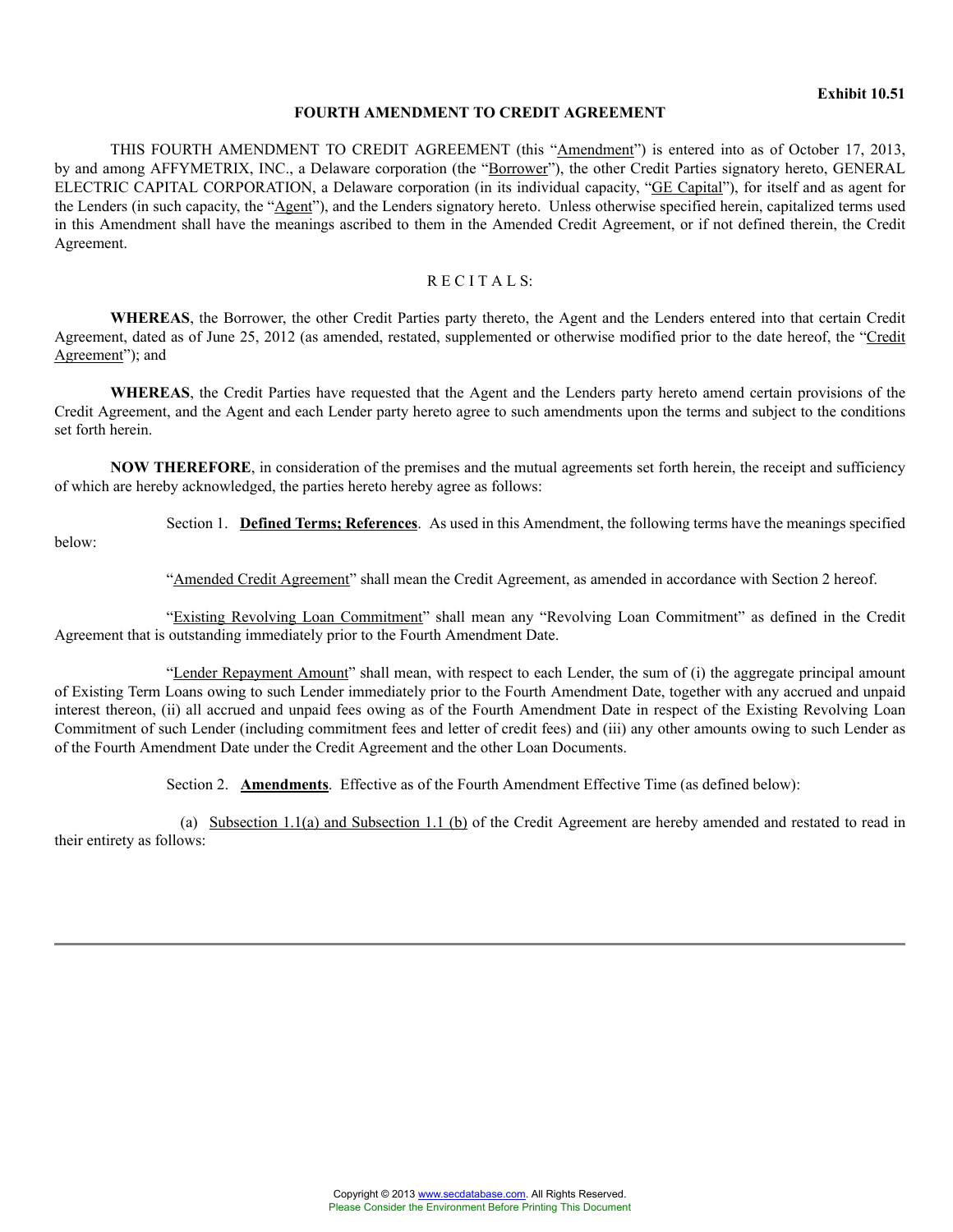#### **Exhibit 10.51**

#### **FOURTH AMENDMENT TO CREDIT AGREEMENT**

THIS FOURTH AMENDMENT TO CREDIT AGREEMENT (this "Amendment") is entered into as of October 17, 2013, by and among AFFYMETRIX, INC., a Delaware corporation (the "Borrower"), the other Credit Parties signatory hereto, GENERAL ELECTRIC CAPITAL CORPORATION, a Delaware corporation (in its individual capacity, "GE Capital"), for itself and as agent for the Lenders (in such capacity, the "Agent"), and the Lenders signatory hereto. Unless otherwise specified herein, capitalized terms used in this Amendment shall have the meanings ascribed to them in the Amended Credit Agreement, or if not defined therein, the Credit Agreement.

#### $R$  E C I T A L S<sup> $.$ </sup>

**WHEREAS**, the Borrower, the other Credit Parties party thereto, the Agent and the Lenders entered into that certain Credit Agreement, dated as of June 25, 2012 (as amended, restated, supplemented or otherwise modified prior to the date hereof, the "Credit Agreement"); and

**WHEREAS**, the Credit Parties have requested that the Agent and the Lenders party hereto amend certain provisions of the Credit Agreement, and the Agent and each Lender party hereto agree to such amendments upon the terms and subject to the conditions set forth herein.

**NOW THEREFORE**, in consideration of the premises and the mutual agreements set forth herein, the receipt and sufficiency of which are hereby acknowledged, the parties hereto hereby agree as follows:

Section 1. **Defined Terms; References**. As used in this Amendment, the following terms have the meanings specified

below:

"Amended Credit Agreement" shall mean the Credit Agreement, as amended in accordance with Section 2 hereof.

"Existing Revolving Loan Commitment" shall mean any "Revolving Loan Commitment" as defined in the Credit Agreement that is outstanding immediately prior to the Fourth Amendment Date.

"Lender Repayment Amount" shall mean, with respect to each Lender, the sum of (i) the aggregate principal amount of Existing Term Loans owing to such Lender immediately prior to the Fourth Amendment Date, together with any accrued and unpaid interest thereon, (ii) all accrued and unpaid fees owing as of the Fourth Amendment Date in respect of the Existing Revolving Loan Commitment of such Lender (including commitment fees and letter of credit fees) and (iii) any other amounts owing to such Lender as of the Fourth Amendment Date under the Credit Agreement and the other Loan Documents.

Section 2. **Amendments**. Effective as of the Fourth Amendment Effective Time (as defined below):

(a) Subsection 1.1(a) and Subsection 1.1 (b) of the Credit Agreement are hereby amended and restated to read in their entirety as follows: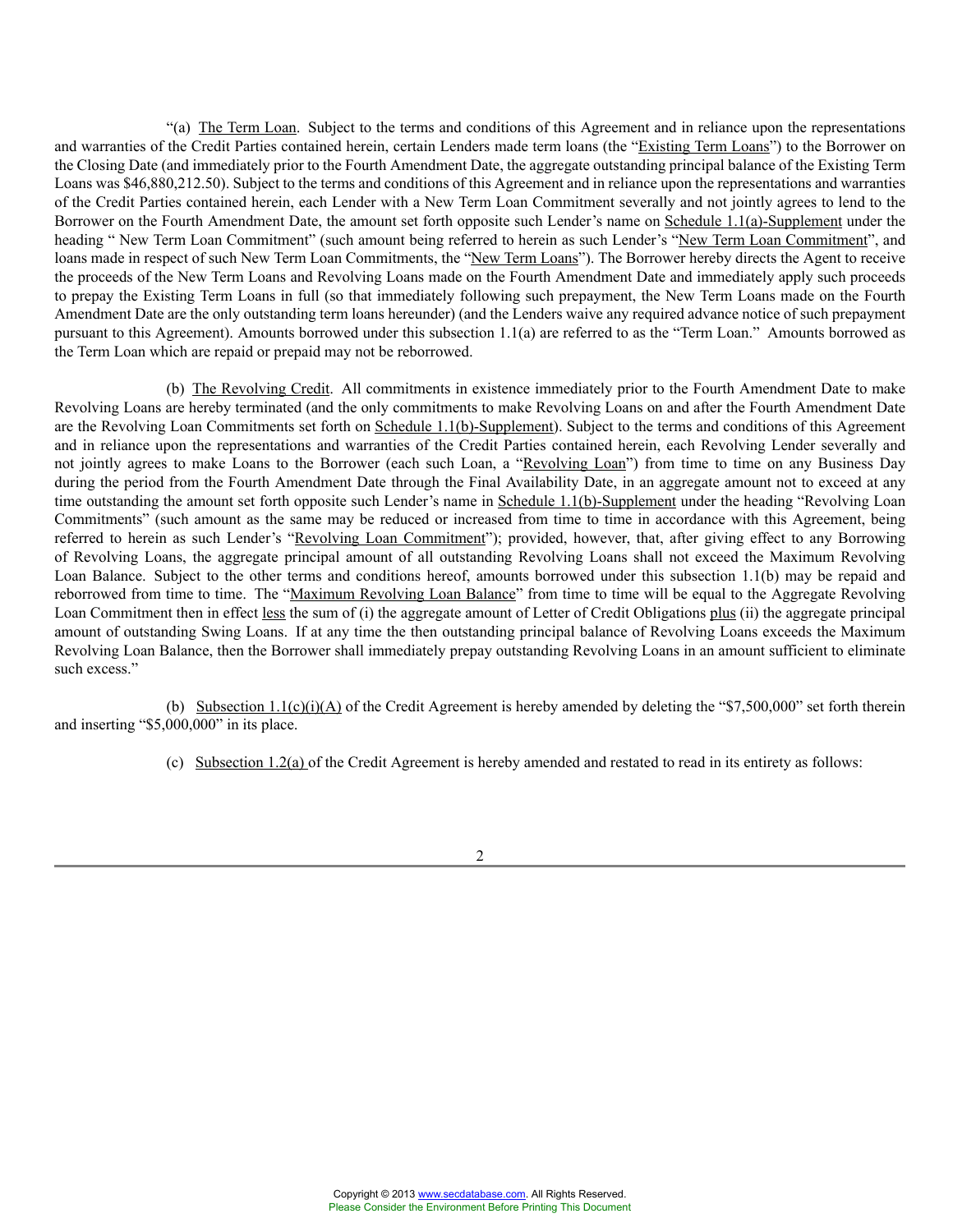"(a) The Term Loan. Subject to the terms and conditions of this Agreement and in reliance upon the representations and warranties of the Credit Parties contained herein, certain Lenders made term loans (the "Existing Term Loans") to the Borrower on the Closing Date (and immediately prior to the Fourth Amendment Date, the aggregate outstanding principal balance of the Existing Term Loans was \$46,880,212.50). Subject to the terms and conditions of this Agreement and in reliance upon the representations and warranties of the Credit Parties contained herein, each Lender with a New Term Loan Commitment severally and not jointly agrees to lend to the Borrower on the Fourth Amendment Date, the amount set forth opposite such Lender's name on Schedule 1.1(a)-Supplement under the heading " New Term Loan Commitment" (such amount being referred to herein as such Lender's "New Term Loan Commitment", and loans made in respect of such New Term Loan Commitments, the "New Term Loans"). The Borrower hereby directs the Agent to receive the proceeds of the New Term Loans and Revolving Loans made on the Fourth Amendment Date and immediately apply such proceeds to prepay the Existing Term Loans in full (so that immediately following such prepayment, the New Term Loans made on the Fourth Amendment Date are the only outstanding term loans hereunder) (and the Lenders waive any required advance notice of such prepayment pursuant to this Agreement). Amounts borrowed under this subsection 1.1(a) are referred to as the "Term Loan." Amounts borrowed as the Term Loan which are repaid or prepaid may not be reborrowed.

(b) The Revolving Credit. All commitments in existence immediately prior to the Fourth Amendment Date to make Revolving Loans are hereby terminated (and the only commitments to make Revolving Loans on and after the Fourth Amendment Date are the Revolving Loan Commitments set forth on Schedule 1.1(b)-Supplement). Subject to the terms and conditions of this Agreement and in reliance upon the representations and warranties of the Credit Parties contained herein, each Revolving Lender severally and not jointly agrees to make Loans to the Borrower (each such Loan, a "Revolving Loan") from time to time on any Business Day during the period from the Fourth Amendment Date through the Final Availability Date, in an aggregate amount not to exceed at any time outstanding the amount set forth opposite such Lender's name in Schedule 1.1(b)-Supplement under the heading "Revolving Loan Commitments" (such amount as the same may be reduced or increased from time to time in accordance with this Agreement, being referred to herein as such Lender's "Revolving Loan Commitment"); provided, however, that, after giving effect to any Borrowing of Revolving Loans, the aggregate principal amount of all outstanding Revolving Loans shall not exceed the Maximum Revolving Loan Balance. Subject to the other terms and conditions hereof, amounts borrowed under this subsection 1.1(b) may be repaid and reborrowed from time to time. The "Maximum Revolving Loan Balance" from time to time will be equal to the Aggregate Revolving Loan Commitment then in effect less the sum of (i) the aggregate amount of Letter of Credit Obligations plus (ii) the aggregate principal amount of outstanding Swing Loans. If at any time the then outstanding principal balance of Revolving Loans exceeds the Maximum Revolving Loan Balance, then the Borrower shall immediately prepay outstanding Revolving Loans in an amount sufficient to eliminate such excess."

(b) Subsection 1.1(c)(i)(A) of the Credit Agreement is hereby amended by deleting the "\$7,500,000" set forth therein and inserting "\$5,000,000" in its place.

(c) Subsection  $1.2(a)$  of the Credit Agreement is hereby amended and restated to read in its entirety as follows: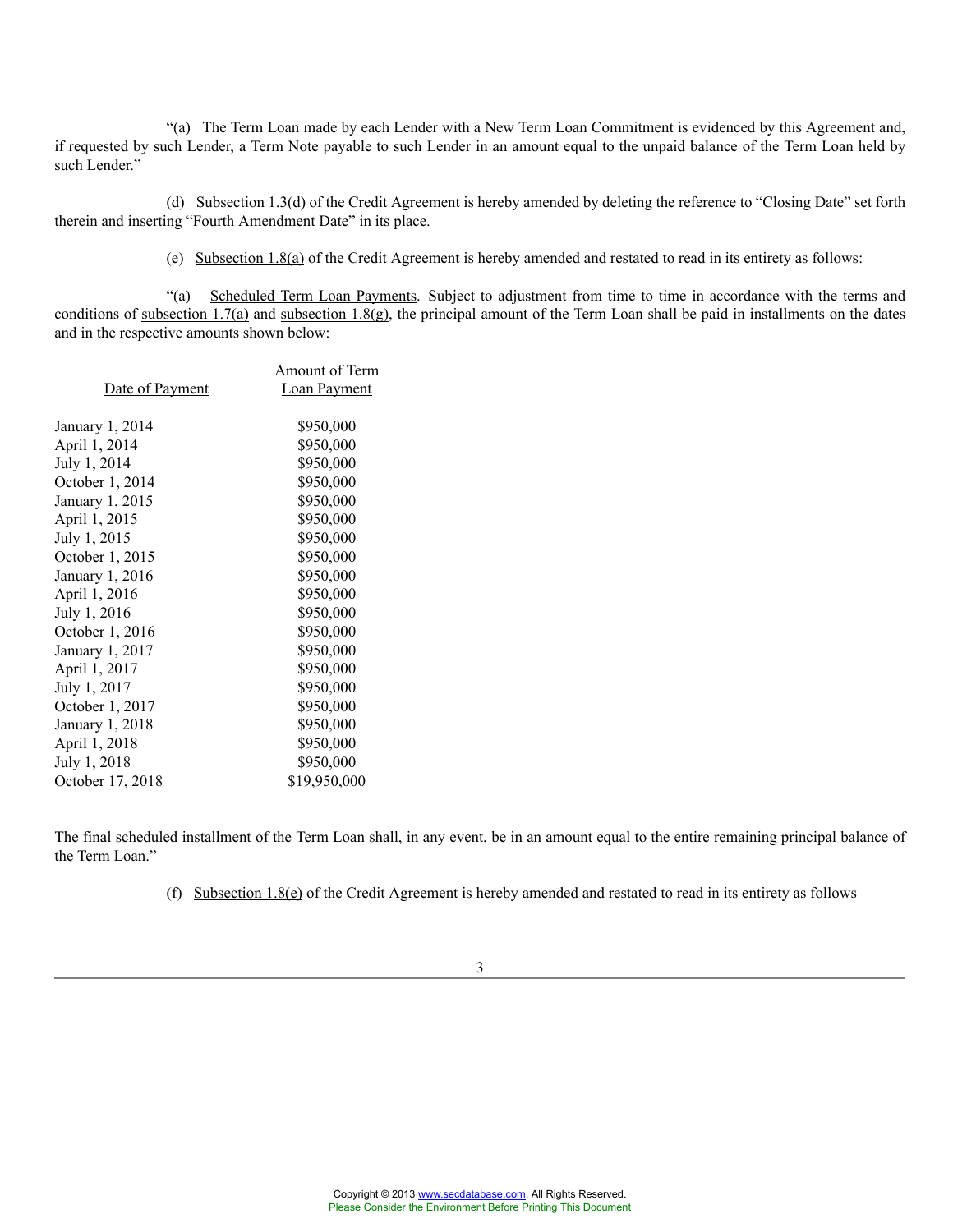"(a) The Term Loan made by each Lender with a New Term Loan Commitment is evidenced by this Agreement and, if requested by such Lender, a Term Note payable to such Lender in an amount equal to the unpaid balance of the Term Loan held by such Lender."

(d) Subsection 1.3(d) of the Credit Agreement is hereby amended by deleting the reference to "Closing Date" set forth therein and inserting "Fourth Amendment Date" in its place.

(e) Subsection 1.8(a) of the Credit Agreement is hereby amended and restated to read in its entirety as follows:

"(a) Scheduled Term Loan Payments. Subject to adjustment from time to time in accordance with the terms and conditions of subsection 1.7(a) and subsection 1.8(g), the principal amount of the Term Loan shall be paid in installments on the dates and in the respective amounts shown below:

|                  | Amount of Term      |
|------------------|---------------------|
| Date of Payment  | <b>Loan Payment</b> |
|                  |                     |
| January 1, 2014  | \$950,000           |
| April 1, 2014    | \$950,000           |
| July 1, 2014     | \$950,000           |
| October 1, 2014  | \$950,000           |
| January 1, 2015  | \$950,000           |
| April 1, 2015    | \$950,000           |
| July 1, 2015     | \$950,000           |
| October 1, 2015  | \$950,000           |
| January 1, 2016  | \$950,000           |
| April 1, 2016    | \$950,000           |
| July 1, 2016     | \$950,000           |
| October 1, 2016  | \$950,000           |
| January 1, 2017  | \$950,000           |
| April 1, 2017    | \$950,000           |
| July 1, 2017     | \$950,000           |
| October 1, 2017  | \$950,000           |
| January 1, 2018  | \$950,000           |
| April 1, 2018    | \$950,000           |
| July 1, 2018     | \$950,000           |
| October 17, 2018 | \$19,950,000        |
|                  |                     |

The final scheduled installment of the Term Loan shall, in any event, be in an amount equal to the entire remaining principal balance of the Term Loan."

(f) Subsection  $1.8(e)$  of the Credit Agreement is hereby amended and restated to read in its entirety as follows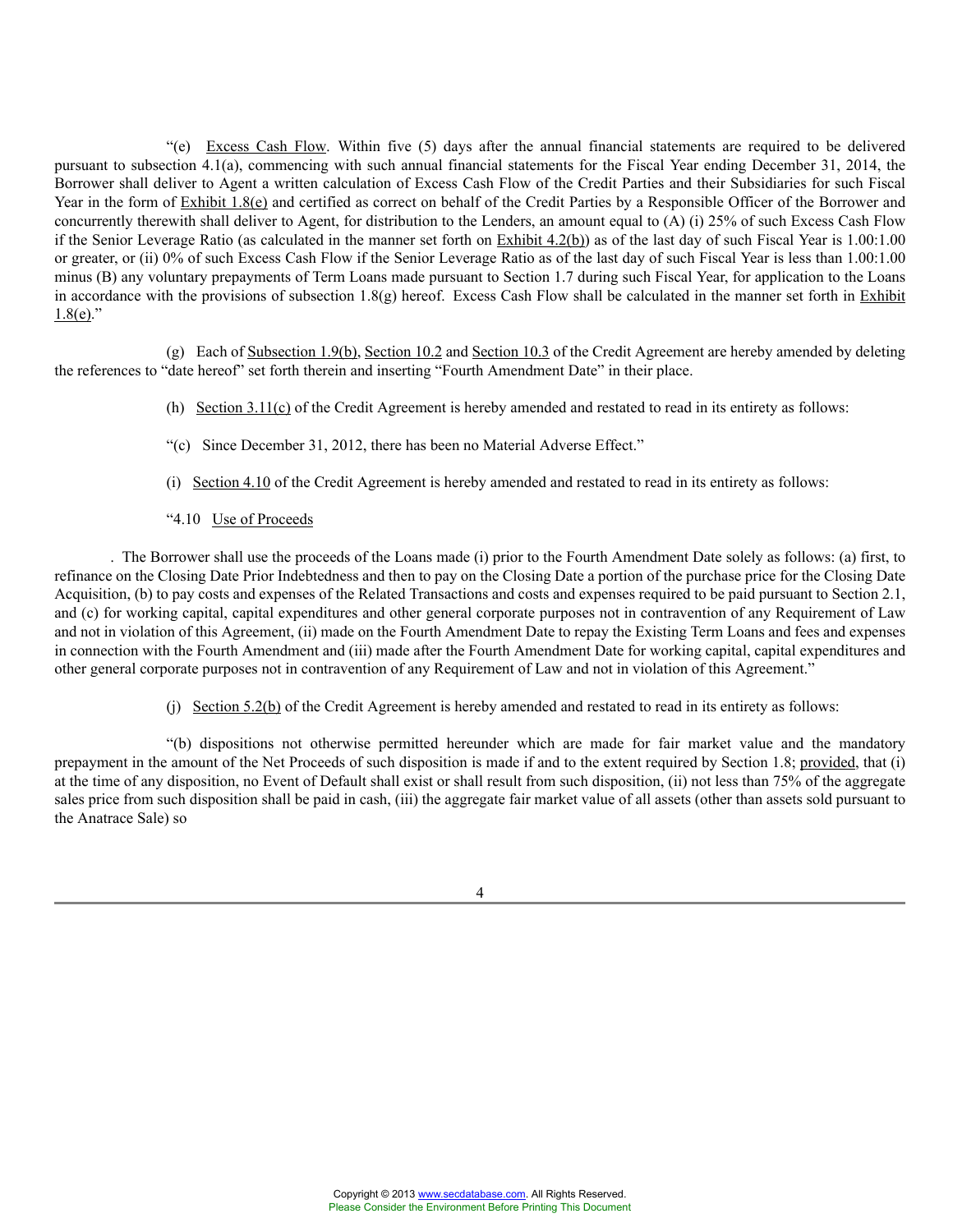"(e) Excess Cash Flow. Within five (5) days after the annual financial statements are required to be delivered pursuant to subsection 4.1(a), commencing with such annual financial statements for the Fiscal Year ending December 31, 2014, the Borrower shall deliver to Agent a written calculation of Excess Cash Flow of the Credit Parties and their Subsidiaries for such Fiscal Year in the form of Exhibit 1.8(e) and certified as correct on behalf of the Credit Parties by a Responsible Officer of the Borrower and concurrently therewith shall deliver to Agent, for distribution to the Lenders, an amount equal to (A) (i) 25% of such Excess Cash Flow if the Senior Leverage Ratio (as calculated in the manner set forth on  $\frac{Exhibit 4.2(b)}{x}$ ) as of the last day of such Fiscal Year is 1.00:1.00 or greater, or (ii) 0% of such Excess Cash Flow if the Senior Leverage Ratio as of the last day of such Fiscal Year is less than 1.00:1.00 minus (B) any voluntary prepayments of Term Loans made pursuant to Section 1.7 during such Fiscal Year, for application to the Loans in accordance with the provisions of subsection  $1.8(g)$  hereof. Excess Cash Flow shall be calculated in the manner set forth in Exhibit  $1.8(e)$ ."

(g) Each of Subsection 1.9(b), Section 10.2 and Section 10.3 of the Credit Agreement are hereby amended by deleting the references to "date hereof" set forth therein and inserting "Fourth Amendment Date" in their place.

- (h) Section 3.11(c) of the Credit Agreement is hereby amended and restated to read in its entirety as follows:
- "(c) Since December 31, 2012, there has been no Material Adverse Effect."
- (i) Section 4.10 of the Credit Agreement is hereby amended and restated to read in its entirety as follows:
- "4.10 Use of Proceeds

. The Borrower shall use the proceeds of the Loans made (i) prior to the Fourth Amendment Date solely as follows: (a) first, to refinance on the Closing Date Prior Indebtedness and then to pay on the Closing Date a portion of the purchase price for the Closing Date Acquisition, (b) to pay costs and expenses of the Related Transactions and costs and expenses required to be paid pursuant to Section 2.1, and (c) for working capital, capital expenditures and other general corporate purposes not in contravention of any Requirement of Law and not in violation of this Agreement, (ii) made on the Fourth Amendment Date to repay the Existing Term Loans and fees and expenses in connection with the Fourth Amendment and (iii) made after the Fourth Amendment Date for working capital, capital expenditures and other general corporate purposes not in contravention of any Requirement of Law and not in violation of this Agreement."

(j) Section 5.2(b) of the Credit Agreement is hereby amended and restated to read in its entirety as follows:

"(b) dispositions not otherwise permitted hereunder which are made for fair market value and the mandatory prepayment in the amount of the Net Proceeds of such disposition is made if and to the extent required by Section 1.8; provided, that (i) at the time of any disposition, no Event of Default shall exist or shall result from such disposition, (ii) not less than 75% of the aggregate sales price from such disposition shall be paid in cash, (iii) the aggregate fair market value of all assets (other than assets sold pursuant to the Anatrace Sale) so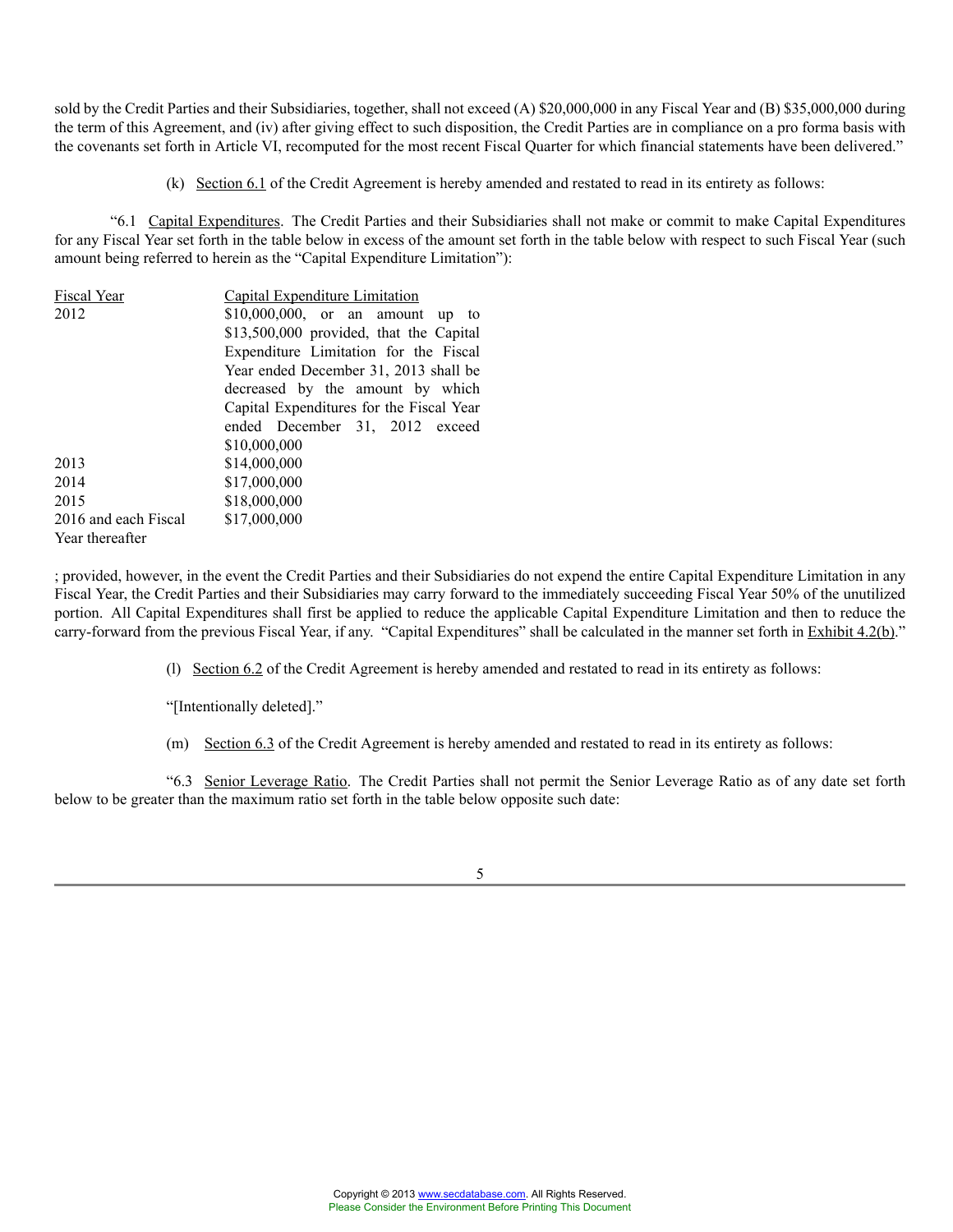sold by the Credit Parties and their Subsidiaries, together, shall not exceed (A) \$20,000,000 in any Fiscal Year and (B) \$35,000,000 during the term of this Agreement, and (iv) after giving effect to such disposition, the Credit Parties are in compliance on a pro forma basis with the covenants set forth in Article VI, recomputed for the most recent Fiscal Quarter for which financial statements have been delivered."

(k) Section 6.1 of the Credit Agreement is hereby amended and restated to read in its entirety as follows:

"6.1 Capital Expenditures. The Credit Parties and their Subsidiaries shall not make or commit to make Capital Expenditures for any Fiscal Year set forth in the table below in excess of the amount set forth in the table below with respect to such Fiscal Year (such amount being referred to herein as the "Capital Expenditure Limitation"):

| Fiscal Year          | <b>Capital Expenditure Limitation</b>    |
|----------------------|------------------------------------------|
| 2012                 | $$10,000,000$ , or an amount up to       |
|                      | \$13,500,000 provided, that the Capital  |
|                      | Expenditure Limitation for the Fiscal    |
|                      | Year ended December 31, 2013 shall be    |
|                      | decreased by the amount by which         |
|                      | Capital Expenditures for the Fiscal Year |
|                      | ended December 31, 2012 exceed           |
|                      | \$10,000,000                             |
| 2013                 | \$14,000,000                             |
| 2014                 | \$17,000,000                             |
| 2015                 | \$18,000,000                             |
| 2016 and each Fiscal | \$17,000,000                             |
| Year thereafter      |                                          |

; provided, however, in the event the Credit Parties and their Subsidiaries do not expend the entire Capital Expenditure Limitation in any Fiscal Year, the Credit Parties and their Subsidiaries may carry forward to the immediately succeeding Fiscal Year 50% of the unutilized portion. All Capital Expenditures shall first be applied to reduce the applicable Capital Expenditure Limitation and then to reduce the carry-forward from the previous Fiscal Year, if any. "Capital Expenditures" shall be calculated in the manner set forth in Exhibit 4.2(b)."

(l) Section 6.2 of the Credit Agreement is hereby amended and restated to read in its entirety as follows:

"[Intentionally deleted]."

(m) Section 6.3 of the Credit Agreement is hereby amended and restated to read in its entirety as follows:

"6.3 Senior Leverage Ratio. The Credit Parties shall not permit the Senior Leverage Ratio as of any date set forth below to be greater than the maximum ratio set forth in the table below opposite such date: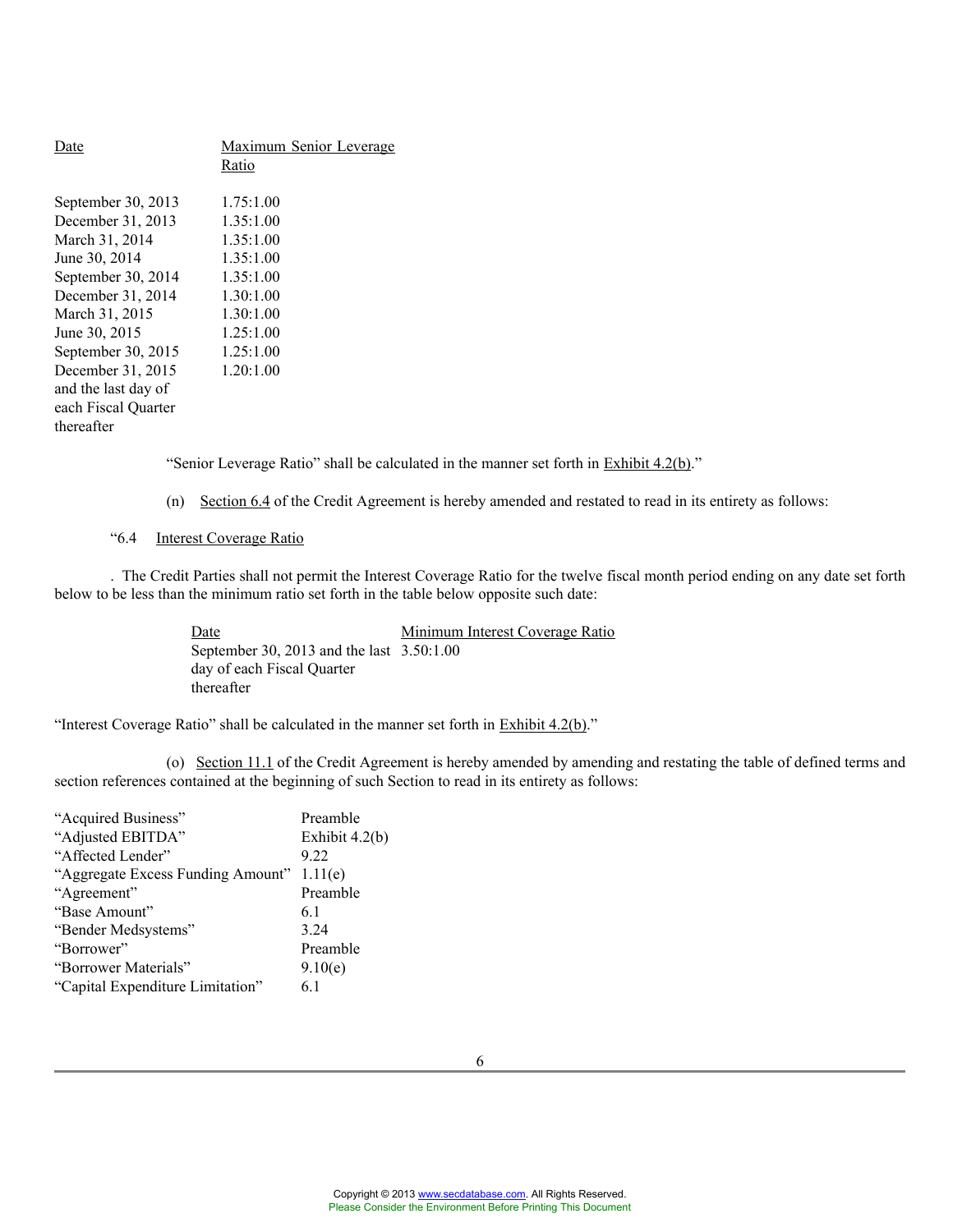| <b>Date</b>         | <b>Maximum Senior Leverage</b> |  |  |
|---------------------|--------------------------------|--|--|
|                     | Ratio                          |  |  |
| September 30, 2013  | 1.75:1.00                      |  |  |
| December 31, 2013   | 1.35:1.00                      |  |  |
| March 31, 2014      | 1.35:1.00                      |  |  |
| June 30, 2014       | 1.35:1.00                      |  |  |
| September 30, 2014  | 1.35:1.00                      |  |  |
| December 31, 2014   | 1.30:1.00                      |  |  |
| March 31, 2015      | 1.30:1.00                      |  |  |
| June 30, 2015       | 1.25:1.00                      |  |  |
| September 30, 2015  | 1.25:1.00                      |  |  |
| December 31, 2015   | 1.20:1.00                      |  |  |
| and the last day of |                                |  |  |
| each Fiscal Ouarter |                                |  |  |
| thereafter          |                                |  |  |
|                     |                                |  |  |

"Senior Leverage Ratio" shall be calculated in the manner set forth in Exhibit 4.2(b)."

(n) Section 6.4 of the Credit Agreement is hereby amended and restated to read in its entirety as follows:

# "6.4 Interest Coverage Ratio

. The Credit Parties shall not permit the Interest Coverage Ratio for the twelve fiscal month period ending on any date set forth below to be less than the minimum ratio set forth in the table below opposite such date:

> Date Minimum Interest Coverage Ratio September 30, 2013 and the last 3.50:1.00 day of each Fiscal Quarter thereafter

"Interest Coverage Ratio" shall be calculated in the manner set forth in Exhibit 4.2(b)."

(o) Section 11.1 of the Credit Agreement is hereby amended by amending and restating the table of defined terms and section references contained at the beginning of such Section to read in its entirety as follows:

| "Acquired Business"               | Preamble         |
|-----------------------------------|------------------|
| "Adjusted EBITDA"                 | Exhibit $4.2(b)$ |
| "Affected Lender"                 | 9.22             |
| "Aggregate Excess Funding Amount" | 1.11(e)          |
| "Agreement"                       | Preamble         |
| "Base Amount"                     | 61               |
| "Bender Medsystems"               | 3.24             |
| "Borrower"                        | Preamble         |
| "Borrower Materials"              | 9.10(e)          |
| "Capital Expenditure Limitation"  | 61               |
|                                   |                  |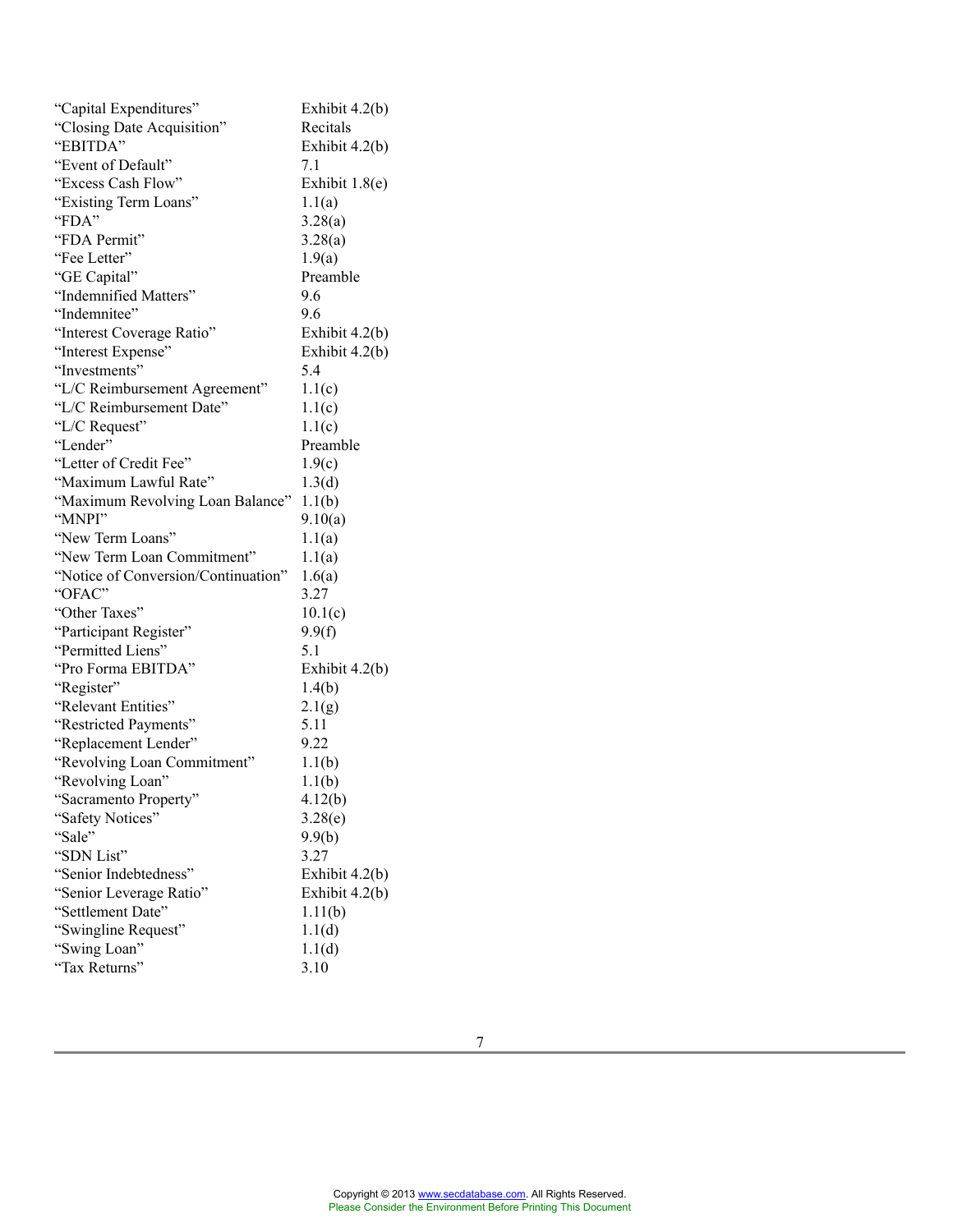| "Capital Expenditures"              | Exhibit 4.2(b)   |
|-------------------------------------|------------------|
| "Closing Date Acquisition"          | Recitals         |
| "EBITDA"                            | Exhibit $4.2(b)$ |
| "Event of Default"                  | 7.1              |
| "Excess Cash Flow"                  | Exhibit $1.8(e)$ |
| "Existing Term Loans"               | 1.1(a)           |
| "FDA"                               | 3.28(a)          |
| "FDA Permit"                        | 3.28(a)          |
| "Fee Letter"                        | 1.9(a)           |
| "GE Capital"                        | Preamble         |
| "Indemnified Matters"               | 9.6              |
| "Indemnitee"                        | 9.6              |
| "Interest Coverage Ratio"           | Exhibit $4.2(b)$ |
| "Interest Expense"                  | Exhibit 4.2(b)   |
| "Investments"                       | 5.4              |
| "L/C Reimbursement Agreement"       | 1.1(c)           |
| "L/C Reimbursement Date"            | 1.1(c)           |
| "L/C Request"                       | 1.1(c)           |
| "Lender"                            | Preamble         |
| "Letter of Credit Fee"              | 1.9(c)           |
| "Maximum Lawful Rate"               | 1.3(d)           |
| "Maximum Revolving Loan Balance"    | 1.1(b)           |
| "MNPI"                              | 9.10(a)          |
| "New Term Loans"                    | 1.1(a)           |
| "New Term Loan Commitment"          | 1.1(a)           |
| "Notice of Conversion/Continuation" | 1.6(a)           |
| "OFAC"                              | 3.27             |
| "Other Taxes"                       | 10.1(c)          |
| "Participant Register"              | 9.9(f)           |
| "Permitted Liens"                   | 5.1              |
| "Pro Forma EBITDA"                  | Exhibit $4.2(b)$ |
| "Register"                          | 1.4(b)           |
| "Relevant Entities"                 | 2.1(g)           |
| "Restricted Payments"               | 5.11             |
| "Replacement Lender"                | 9.22             |
| "Revolving Loan Commitment"         | 1.1(b)           |
| "Revolving Loan"                    | 1.1(b)           |
| "Sacramento Property"               | 4.12(b)          |
| "Safety Notices"                    | 3.28(e)          |
| "Sale"                              | 9.9(b)           |
| "SDN List"                          | 3.27             |
| "Senior Indebtedness"               | Exhibit 4.2(b)   |
| "Senior Leverage Ratio"             | Exhibit 4.2(b)   |
| "Settlement Date"                   | 1.11(b)          |
| "Swingline Request"                 | 1.1(d)           |
| "Swing Loan"                        | 1.1(d)           |
| "Tax Returns"                       | 3.10             |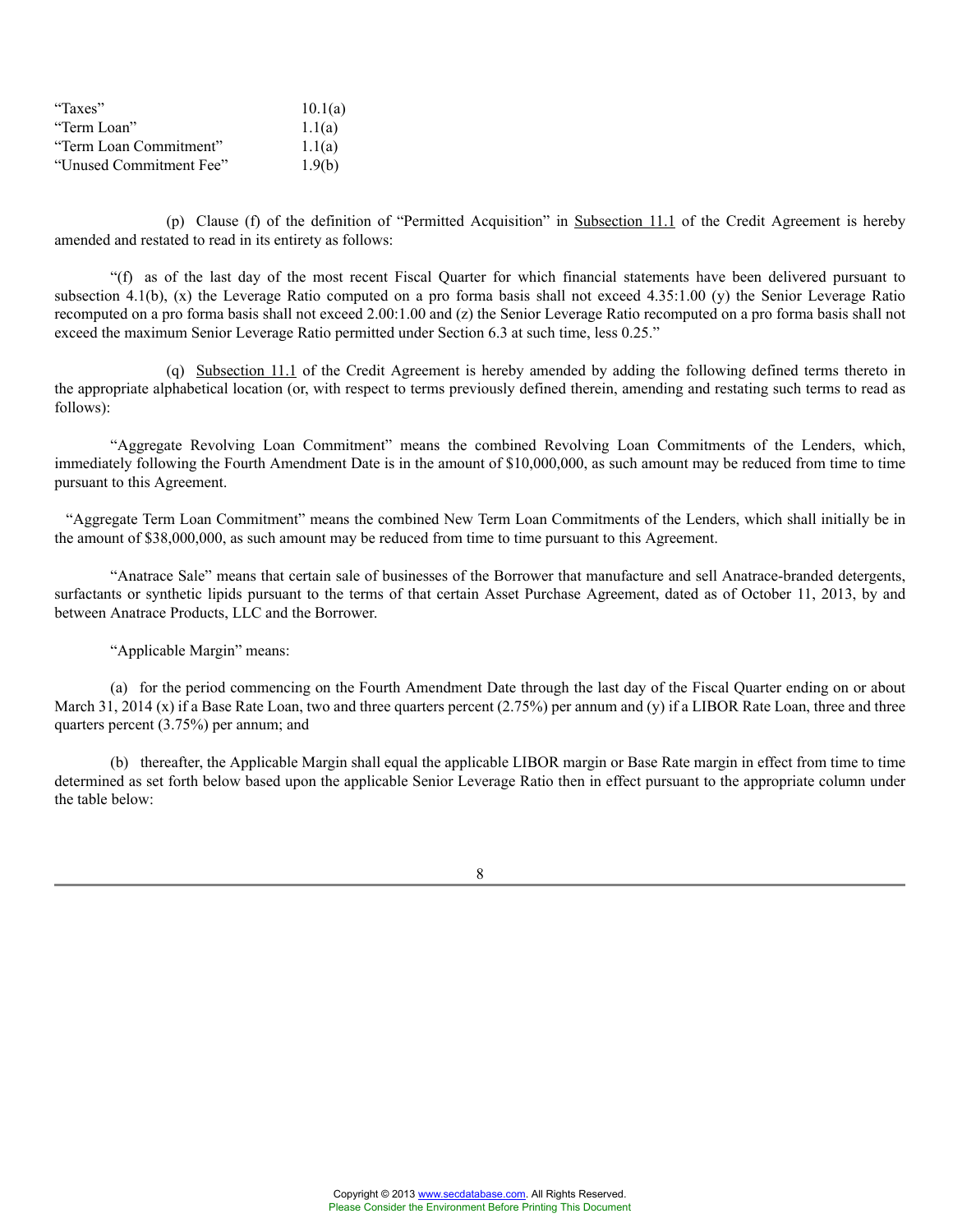| "Taxes"                 | 10.1(a) |
|-------------------------|---------|
| "Term Loan"             | 1.1(a)  |
| "Term Loan Commitment"  | 1.1(a)  |
| "Unused Commitment Fee" | 1.9(b)  |

(p) Clause (f) of the definition of "Permitted Acquisition" in Subsection 11.1 of the Credit Agreement is hereby amended and restated to read in its entirety as follows:

"(f) as of the last day of the most recent Fiscal Quarter for which financial statements have been delivered pursuant to subsection 4.1(b), (x) the Leverage Ratio computed on a pro forma basis shall not exceed 4.35:1.00 (v) the Senior Leverage Ratio recomputed on a pro forma basis shall not exceed 2.00:1.00 and (z) the Senior Leverage Ratio recomputed on a pro forma basis shall not exceed the maximum Senior Leverage Ratio permitted under Section 6.3 at such time, less 0.25."

(q) Subsection 11.1 of the Credit Agreement is hereby amended by adding the following defined terms thereto in the appropriate alphabetical location (or, with respect to terms previously defined therein, amending and restating such terms to read as follows):

"Aggregate Revolving Loan Commitment" means the combined Revolving Loan Commitments of the Lenders, which, immediately following the Fourth Amendment Date is in the amount of \$10,000,000, as such amount may be reduced from time to time pursuant to this Agreement.

"Aggregate Term Loan Commitment" means the combined New Term Loan Commitments of the Lenders, which shall initially be in the amount of \$38,000,000, as such amount may be reduced from time to time pursuant to this Agreement.

"Anatrace Sale" means that certain sale of businesses of the Borrower that manufacture and sell Anatrace-branded detergents, surfactants or synthetic lipids pursuant to the terms of that certain Asset Purchase Agreement, dated as of October 11, 2013, by and between Anatrace Products, LLC and the Borrower.

"Applicable Margin" means:

(a) for the period commencing on the Fourth Amendment Date through the last day of the Fiscal Quarter ending on or about March 31, 2014 (x) if a Base Rate Loan, two and three quarters percent  $(2.75%)$  per annum and (y) if a LIBOR Rate Loan, three and three quarters percent (3.75%) per annum; and

(b) thereafter, the Applicable Margin shall equal the applicable LIBOR margin or Base Rate margin in effect from time to time determined as set forth below based upon the applicable Senior Leverage Ratio then in effect pursuant to the appropriate column under the table below: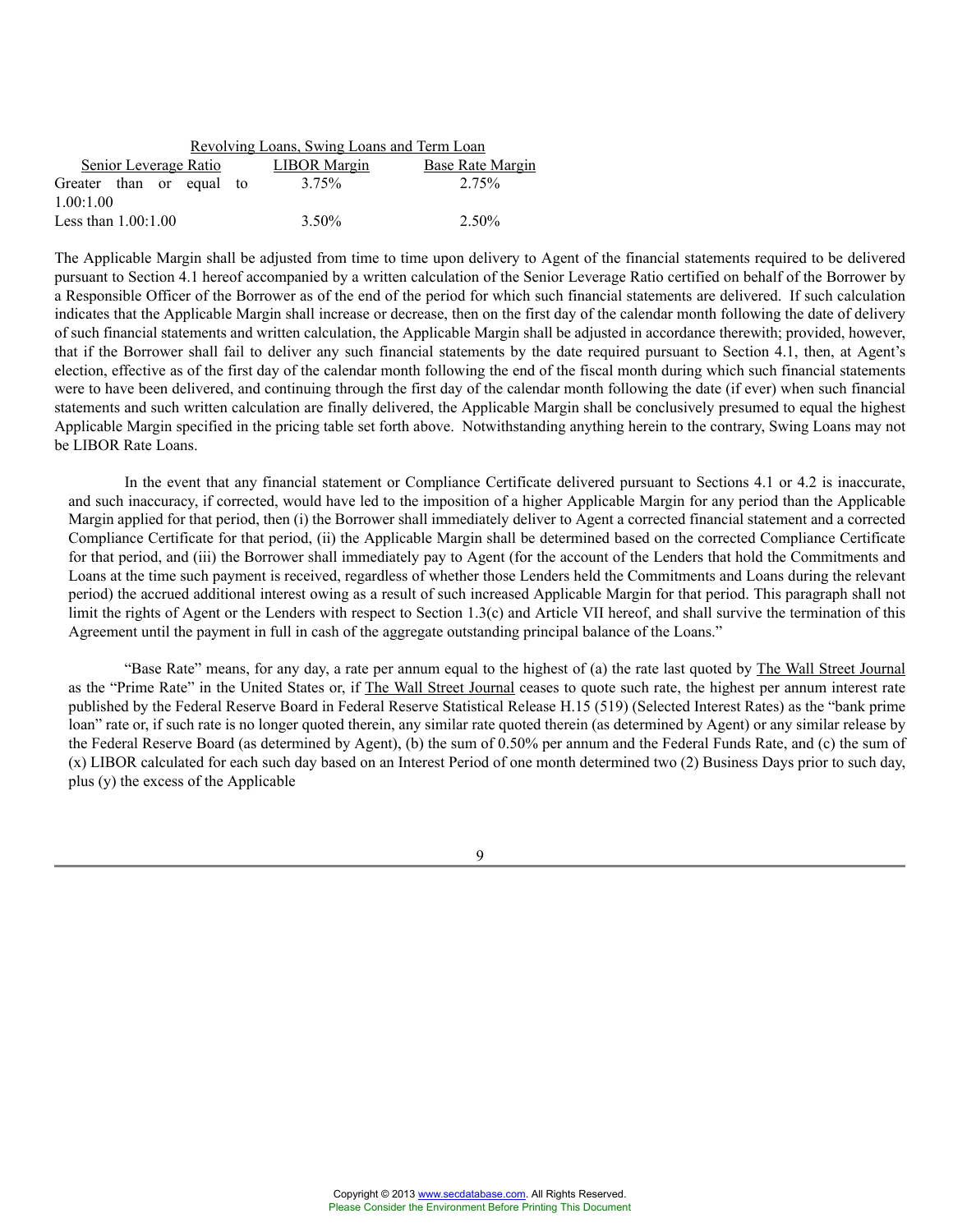| Revolving Loans, Swing Loans and Term Loan |  |  |                       |  |                   |                         |
|--------------------------------------------|--|--|-----------------------|--|-------------------|-------------------------|
|                                            |  |  | Senior Leverage Ratio |  | LIBOR Margin      | <b>Base Rate Margin</b> |
| Greater than or equal to                   |  |  |                       |  | 3.75%             | 2.75%                   |
| 1.00:1.00                                  |  |  |                       |  |                   |                         |
| Less than $1.00:1.00$                      |  |  |                       |  | 3.50 <sup>%</sup> | 2.50%                   |

The Applicable Margin shall be adjusted from time to time upon delivery to Agent of the financial statements required to be delivered pursuant to Section 4.1 hereof accompanied by a written calculation of the Senior Leverage Ratio certified on behalf of the Borrower by a Responsible Officer of the Borrower as of the end of the period for which such financial statements are delivered. If such calculation indicates that the Applicable Margin shall increase or decrease, then on the first day of the calendar month following the date of delivery of such financial statements and written calculation, the Applicable Margin shall be adjusted in accordance therewith; provided, however, that if the Borrower shall fail to deliver any such financial statements by the date required pursuant to Section 4.1, then, at Agent's election, effective as of the first day of the calendar month following the end of the fiscal month during which such financial statements were to have been delivered, and continuing through the first day of the calendar month following the date (if ever) when such financial statements and such written calculation are finally delivered, the Applicable Margin shall be conclusively presumed to equal the highest Applicable Margin specified in the pricing table set forth above. Notwithstanding anything herein to the contrary, Swing Loans may not be LIBOR Rate Loans.

In the event that any financial statement or Compliance Certificate delivered pursuant to Sections 4.1 or 4.2 is inaccurate, and such inaccuracy, if corrected, would have led to the imposition of a higher Applicable Margin for any period than the Applicable Margin applied for that period, then (i) the Borrower shall immediately deliver to Agent a corrected financial statement and a corrected Compliance Certificate for that period, (ii) the Applicable Margin shall be determined based on the corrected Compliance Certificate for that period, and (iii) the Borrower shall immediately pay to Agent (for the account of the Lenders that hold the Commitments and Loans at the time such payment is received, regardless of whether those Lenders held the Commitments and Loans during the relevant period) the accrued additional interest owing as a result of such increased Applicable Margin for that period. This paragraph shall not limit the rights of Agent or the Lenders with respect to Section 1.3(c) and Article VII hereof, and shall survive the termination of this Agreement until the payment in full in cash of the aggregate outstanding principal balance of the Loans."

"Base Rate" means, for any day, a rate per annum equal to the highest of (a) the rate last quoted by The Wall Street Journal as the "Prime Rate" in the United States or, if The Wall Street Journal ceases to quote such rate, the highest per annum interest rate published by the Federal Reserve Board in Federal Reserve Statistical Release H.15 (519) (Selected Interest Rates) as the "bank prime loan" rate or, if such rate is no longer quoted therein, any similar rate quoted therein (as determined by Agent) or any similar release by the Federal Reserve Board (as determined by Agent), (b) the sum of 0.50% per annum and the Federal Funds Rate, and (c) the sum of (x) LIBOR calculated for each such day based on an Interest Period of one month determined two (2) Business Days prior to such day, plus (y) the excess of the Applicable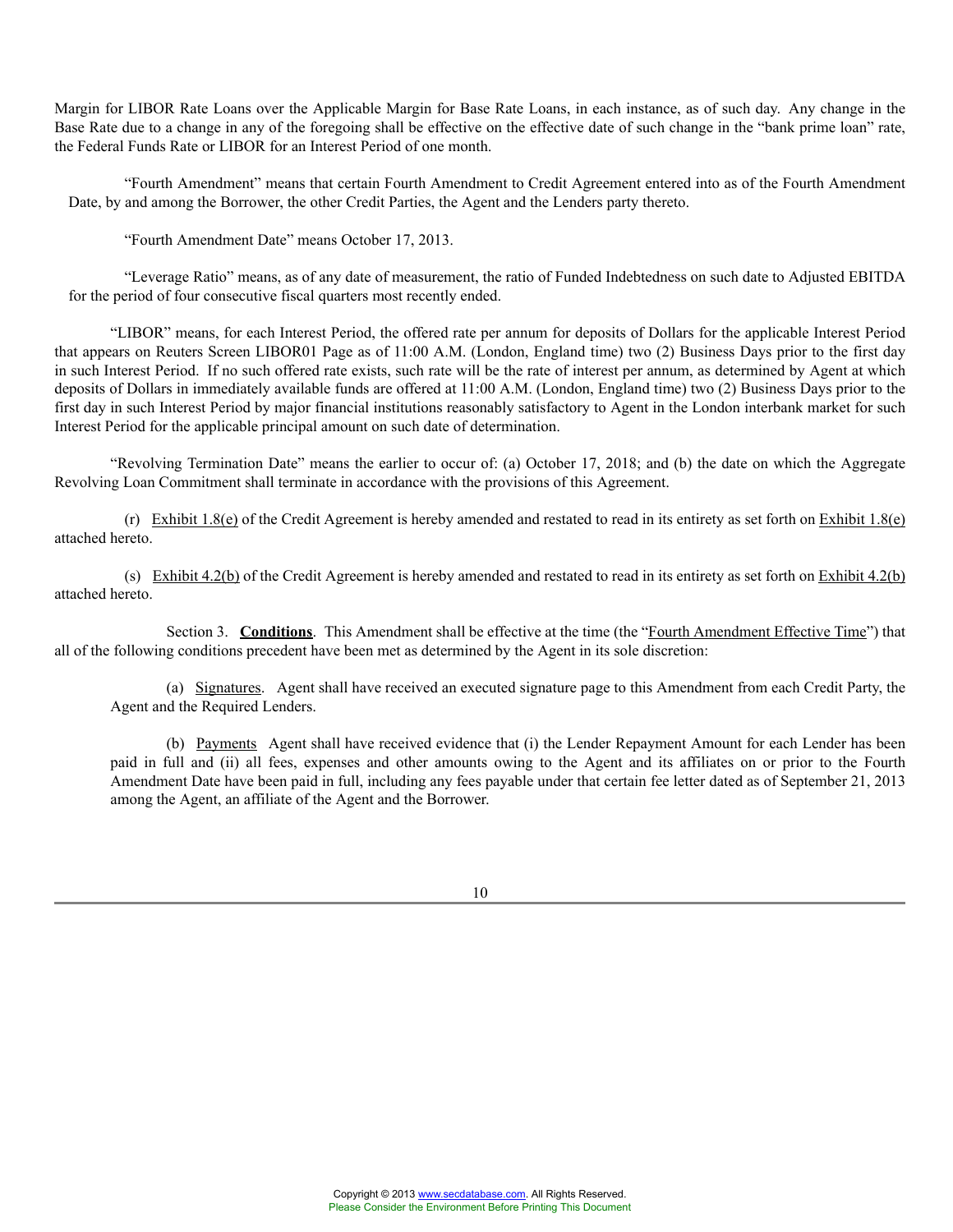Margin for LIBOR Rate Loans over the Applicable Margin for Base Rate Loans, in each instance, as of such day. Any change in the Base Rate due to a change in any of the foregoing shall be effective on the effective date of such change in the "bank prime loan" rate, the Federal Funds Rate or LIBOR for an Interest Period of one month.

"Fourth Amendment" means that certain Fourth Amendment to Credit Agreement entered into as of the Fourth Amendment Date, by and among the Borrower, the other Credit Parties, the Agent and the Lenders party thereto.

"Fourth Amendment Date" means October 17, 2013.

"Leverage Ratio" means, as of any date of measurement, the ratio of Funded Indebtedness on such date to Adjusted EBITDA for the period of four consecutive fiscal quarters most recently ended.

"LIBOR" means, for each Interest Period, the offered rate per annum for deposits of Dollars for the applicable Interest Period that appears on Reuters Screen LIBOR01 Page as of 11:00 A.M. (London, England time) two (2) Business Days prior to the first day in such Interest Period. If no such offered rate exists, such rate will be the rate of interest per annum, as determined by Agent at which deposits of Dollars in immediately available funds are offered at 11:00 A.M. (London, England time) two (2) Business Days prior to the first day in such Interest Period by major financial institutions reasonably satisfactory to Agent in the London interbank market for such Interest Period for the applicable principal amount on such date of determination.

"Revolving Termination Date" means the earlier to occur of: (a) October 17, 2018; and (b) the date on which the Aggregate Revolving Loan Commitment shall terminate in accordance with the provisions of this Agreement.

(r) Exhibit 1.8(e) of the Credit Agreement is hereby amended and restated to read in its entirety as set forth on Exhibit 1.8(e) attached hereto.

(s) Exhibit 4.2(b) of the Credit Agreement is hereby amended and restated to read in its entirety as set forth on Exhibit 4.2(b) attached hereto.

Section 3. **Conditions**. This Amendment shall be effective at the time (the "Fourth Amendment Effective Time") that all of the following conditions precedent have been met as determined by the Agent in its sole discretion:

(a) Signatures. Agent shall have received an executed signature page to this Amendment from each Credit Party, the Agent and the Required Lenders.

(b) Payments Agent shall have received evidence that (i) the Lender Repayment Amount for each Lender has been paid in full and (ii) all fees, expenses and other amounts owing to the Agent and its affiliates on or prior to the Fourth Amendment Date have been paid in full, including any fees payable under that certain fee letter dated as of September 21, 2013 among the Agent, an affiliate of the Agent and the Borrower.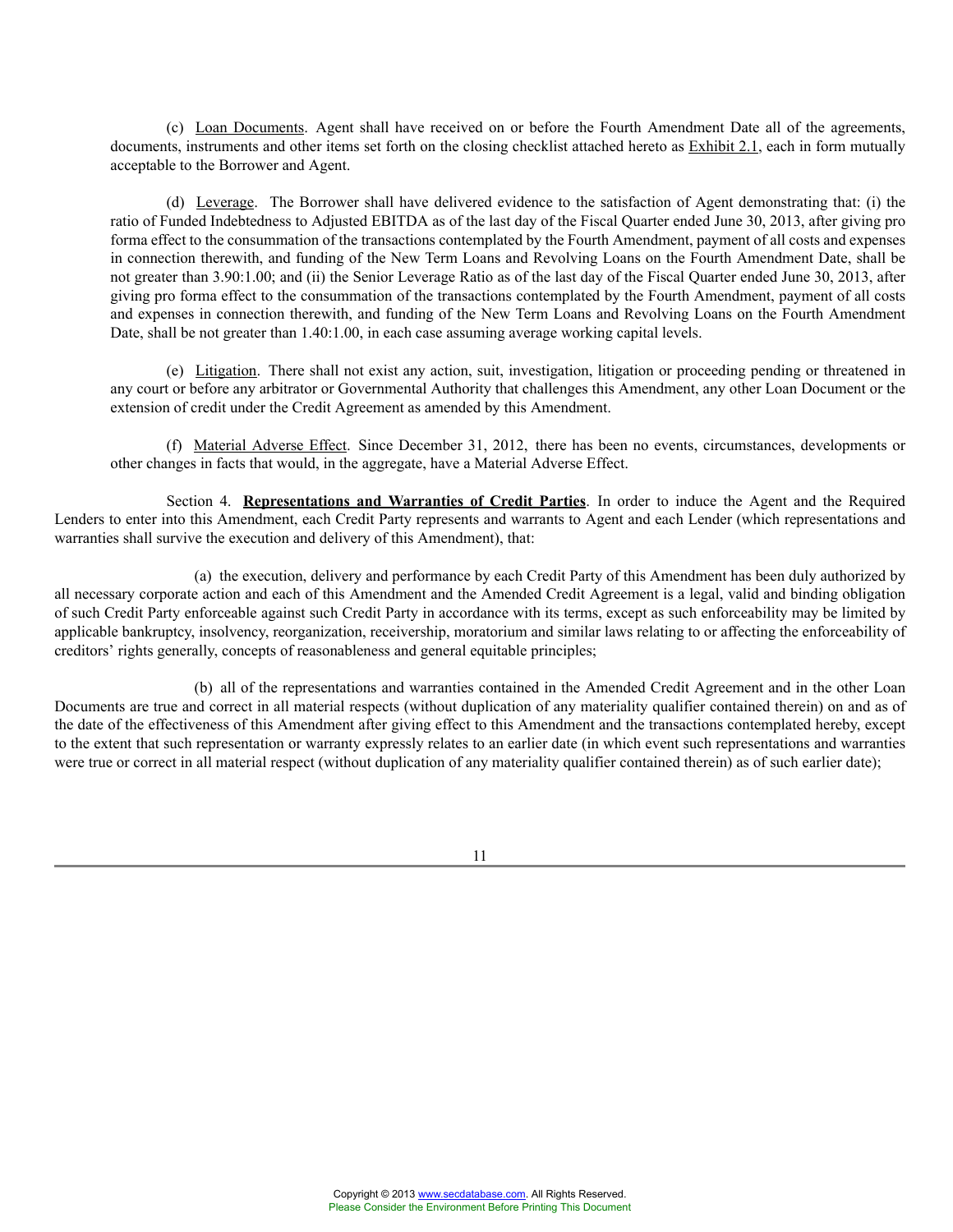(c) Loan Documents. Agent shall have received on or before the Fourth Amendment Date all of the agreements, documents, instruments and other items set forth on the closing checklist attached hereto as **Exhibit 2.1**, each in form mutually acceptable to the Borrower and Agent.

(d) Leverage. The Borrower shall have delivered evidence to the satisfaction of Agent demonstrating that: (i) the ratio of Funded Indebtedness to Adjusted EBITDA as of the last day of the Fiscal Quarter ended June 30, 2013, after giving pro forma effect to the consummation of the transactions contemplated by the Fourth Amendment, payment of all costs and expenses in connection therewith, and funding of the New Term Loans and Revolving Loans on the Fourth Amendment Date, shall be not greater than 3.90:1.00; and (ii) the Senior Leverage Ratio as of the last day of the Fiscal Quarter ended June 30, 2013, after giving pro forma effect to the consummation of the transactions contemplated by the Fourth Amendment, payment of all costs and expenses in connection therewith, and funding of the New Term Loans and Revolving Loans on the Fourth Amendment Date, shall be not greater than 1.40:1.00, in each case assuming average working capital levels.

(e) Litigation. There shall not exist any action, suit, investigation, litigation or proceeding pending or threatened in any court or before any arbitrator or Governmental Authority that challenges this Amendment, any other Loan Document or the extension of credit under the Credit Agreement as amended by this Amendment.

(f) Material Adverse Effect. Since December 31, 2012, there has been no events, circumstances, developments or other changes in facts that would, in the aggregate, have a Material Adverse Effect.

Section 4. **Representations and Warranties of Credit Parties**. In order to induce the Agent and the Required Lenders to enter into this Amendment, each Credit Party represents and warrants to Agent and each Lender (which representations and warranties shall survive the execution and delivery of this Amendment), that:

(a) the execution, delivery and performance by each Credit Party of this Amendment has been duly authorized by all necessary corporate action and each of this Amendment and the Amended Credit Agreement is a legal, valid and binding obligation of such Credit Party enforceable against such Credit Party in accordance with its terms, except as such enforceability may be limited by applicable bankruptcy, insolvency, reorganization, receivership, moratorium and similar laws relating to or affecting the enforceability of creditors' rights generally, concepts of reasonableness and general equitable principles;

(b) all of the representations and warranties contained in the Amended Credit Agreement and in the other Loan Documents are true and correct in all material respects (without duplication of any materiality qualifier contained therein) on and as of the date of the effectiveness of this Amendment after giving effect to this Amendment and the transactions contemplated hereby, except to the extent that such representation or warranty expressly relates to an earlier date (in which event such representations and warranties were true or correct in all material respect (without duplication of any materiality qualifier contained therein) as of such earlier date);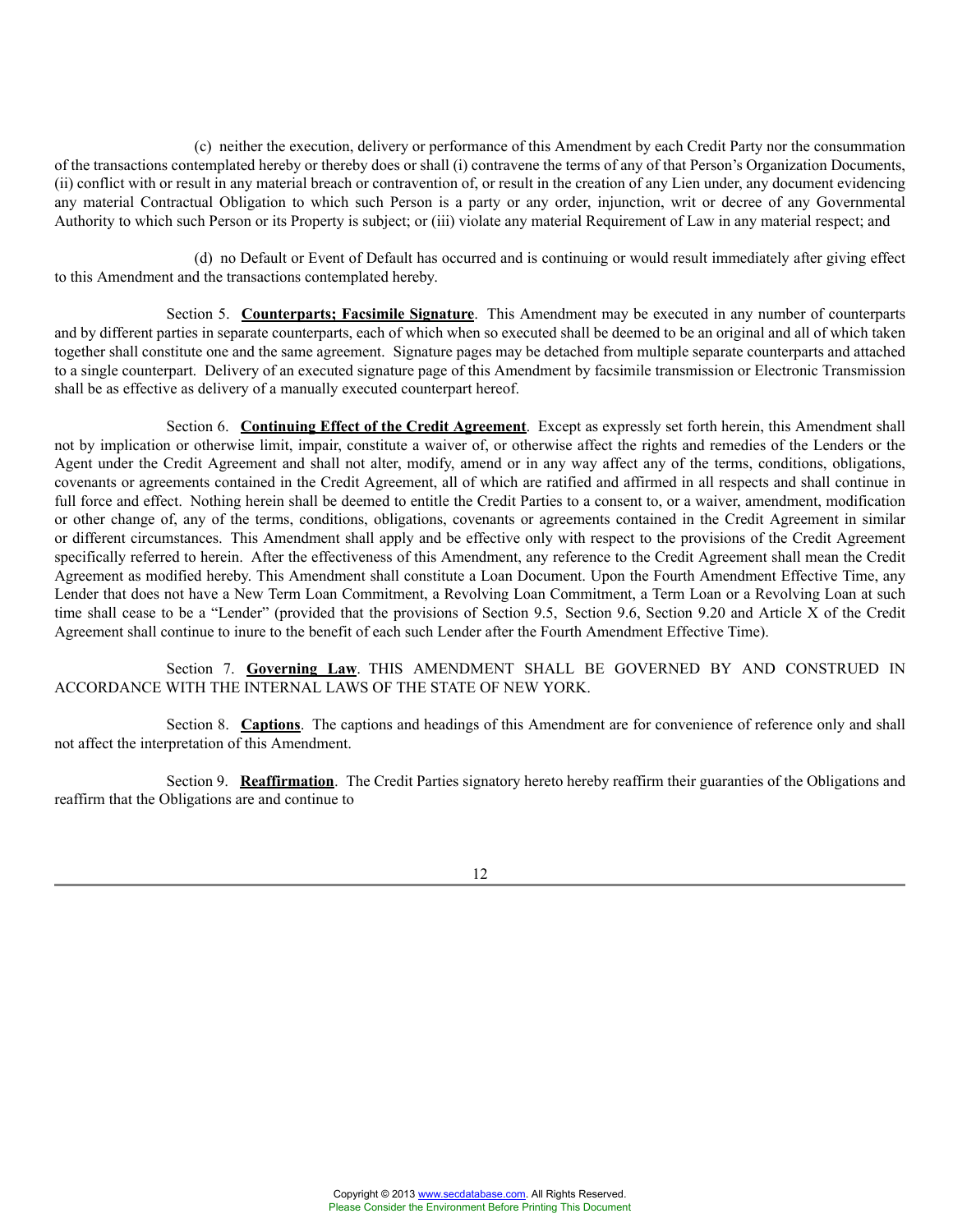(c) neither the execution, delivery or performance of this Amendment by each Credit Party nor the consummation of the transactions contemplated hereby or thereby does or shall (i) contravene the terms of any of that Person's Organization Documents, (ii) conflict with or result in any material breach or contravention of, or result in the creation of any Lien under, any document evidencing any material Contractual Obligation to which such Person is a party or any order, injunction, writ or decree of any Governmental Authority to which such Person or its Property is subject; or (iii) violate any material Requirement of Law in any material respect; and

(d) no Default or Event of Default has occurred and is continuing or would result immediately after giving effect to this Amendment and the transactions contemplated hereby.

Section 5. **Counterparts; Facsimile Signature**. This Amendment may be executed in any number of counterparts and by different parties in separate counterparts, each of which when so executed shall be deemed to be an original and all of which taken together shall constitute one and the same agreement. Signature pages may be detached from multiple separate counterparts and attached to a single counterpart. Delivery of an executed signature page of this Amendment by facsimile transmission or Electronic Transmission shall be as effective as delivery of a manually executed counterpart hereof.

Section 6. **Continuing Effect of the Credit Agreement**. Except as expressly set forth herein, this Amendment shall not by implication or otherwise limit, impair, constitute a waiver of, or otherwise affect the rights and remedies of the Lenders or the Agent under the Credit Agreement and shall not alter, modify, amend or in any way affect any of the terms, conditions, obligations, covenants or agreements contained in the Credit Agreement, all of which are ratified and affirmed in all respects and shall continue in full force and effect. Nothing herein shall be deemed to entitle the Credit Parties to a consent to, or a waiver, amendment, modification or other change of, any of the terms, conditions, obligations, covenants or agreements contained in the Credit Agreement in similar or different circumstances. This Amendment shall apply and be effective only with respect to the provisions of the Credit Agreement specifically referred to herein. After the effectiveness of this Amendment, any reference to the Credit Agreement shall mean the Credit Agreement as modified hereby. This Amendment shall constitute a Loan Document. Upon the Fourth Amendment Effective Time, any Lender that does not have a New Term Loan Commitment, a Revolving Loan Commitment, a Term Loan or a Revolving Loan at such time shall cease to be a "Lender" (provided that the provisions of Section 9.5, Section 9.6, Section 9.20 and Article X of the Credit Agreement shall continue to inure to the benefit of each such Lender after the Fourth Amendment Effective Time).

Section 7. **Governing Law**. THIS AMENDMENT SHALL BE GOVERNED BY AND CONSTRUED IN ACCORDANCE WITH THE INTERNAL LAWS OF THE STATE OF NEW YORK.

Section 8. **Captions**. The captions and headings of this Amendment are for convenience of reference only and shall not affect the interpretation of this Amendment.

Section 9. **Reaffirmation**. The Credit Parties signatory hereto hereby reaffirm their guaranties of the Obligations and reaffirm that the Obligations are and continue to

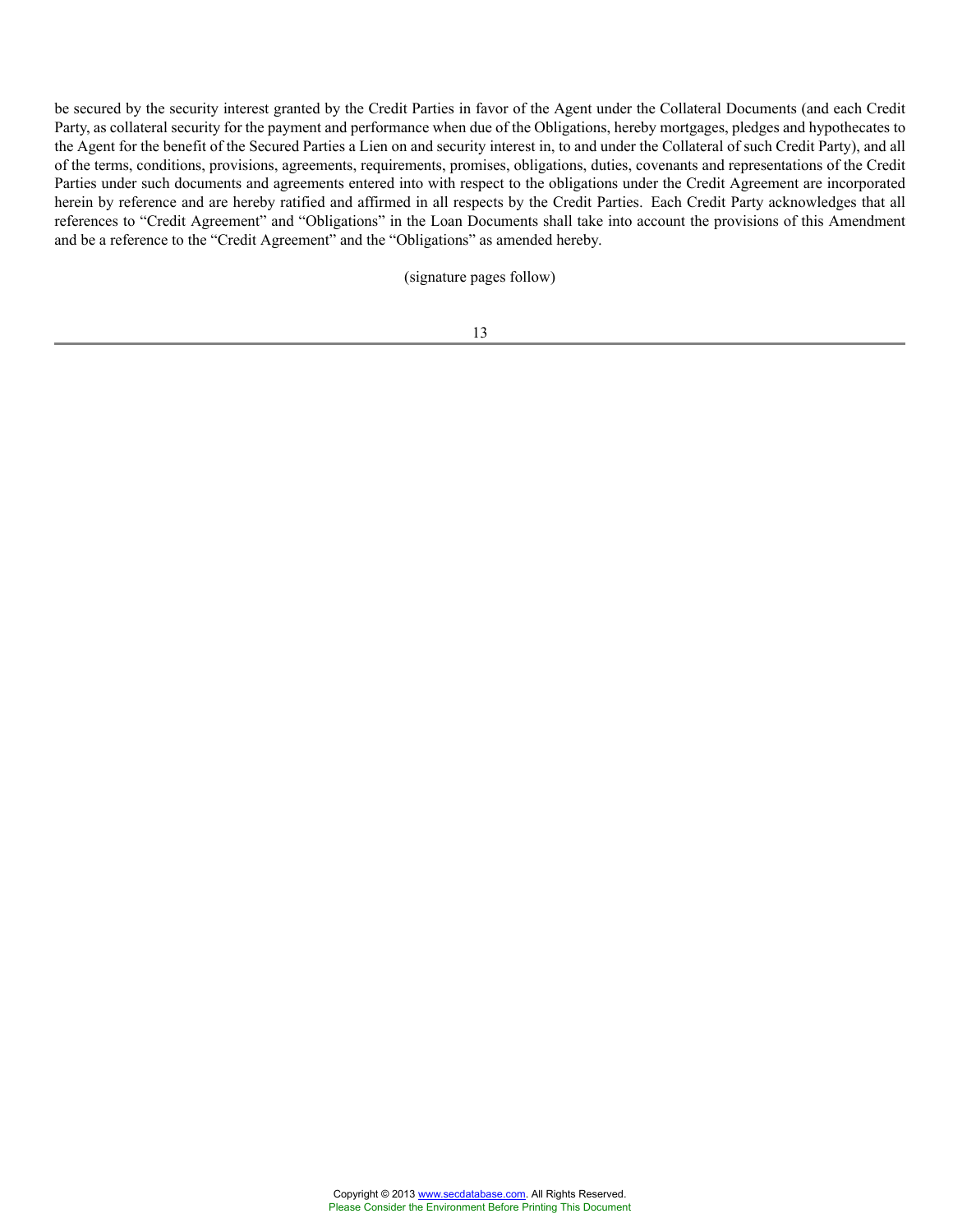be secured by the security interest granted by the Credit Parties in favor of the Agent under the Collateral Documents (and each Credit Party, as collateral security for the payment and performance when due of the Obligations, hereby mortgages, pledges and hypothecates to the Agent for the benefit of the Secured Parties a Lien on and security interest in, to and under the Collateral of such Credit Party), and all of the terms, conditions, provisions, agreements, requirements, promises, obligations, duties, covenants and representations of the Credit Parties under such documents and agreements entered into with respect to the obligations under the Credit Agreement are incorporated herein by reference and are hereby ratified and affirmed in all respects by the Credit Parties. Each Credit Party acknowledges that all references to "Credit Agreement" and "Obligations" in the Loan Documents shall take into account the provisions of this Amendment and be a reference to the "Credit Agreement" and the "Obligations" as amended hereby.

(signature pages follow)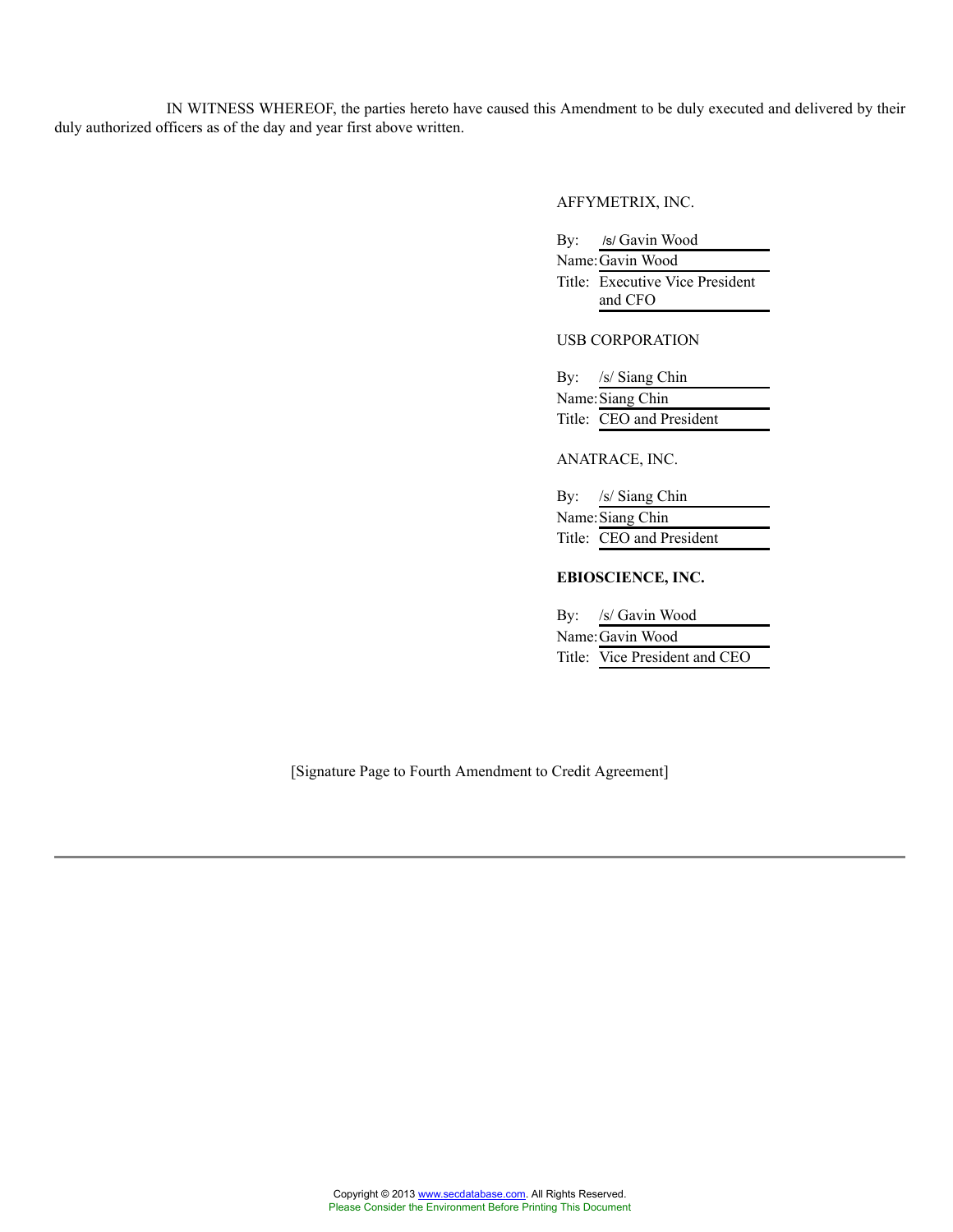IN WITNESS WHEREOF, the parties hereto have caused this Amendment to be duly executed and delivered by their duly authorized officers as of the day and year first above written.

#### AFFYMETRIX, INC.

By: /s/ Gavin Wood

Name:Gavin Wood Title: Executive Vice President and CFO

USB CORPORATION

| By: /s/ Siang Chin       |
|--------------------------|
| Name: Siang Chin         |
| Title: CEO and President |

#### ANATRACE, INC.

| By: /s/ Siang Chin       |
|--------------------------|
| Name: Siang Chin         |
| Title: CEO and President |

# **EBIOSCIENCE, INC.**

| By: /s/ Gavin Wood            |
|-------------------------------|
| Name: Gavin Wood              |
| Title: Vice President and CEO |

[Signature Page to Fourth Amendment to Credit Agreement]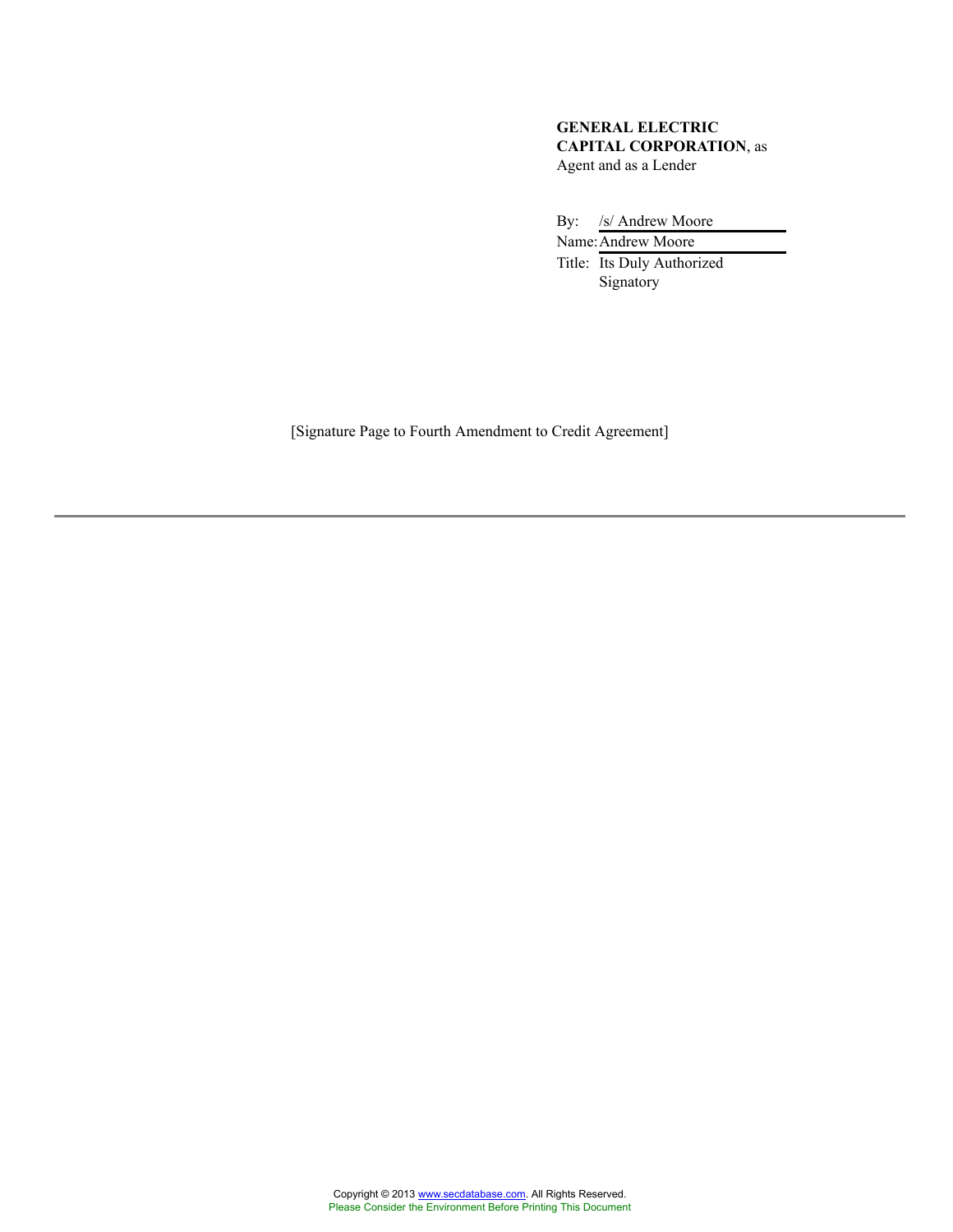# **GENERAL ELECTRIC CAPITAL CORPORATION**, as Agent and as a Lender

By: /s/ Andrew Moore

Name:Andrew Moore Title: Its Duly Authorized Signatory

[Signature Page to Fourth Amendment to Credit Agreement]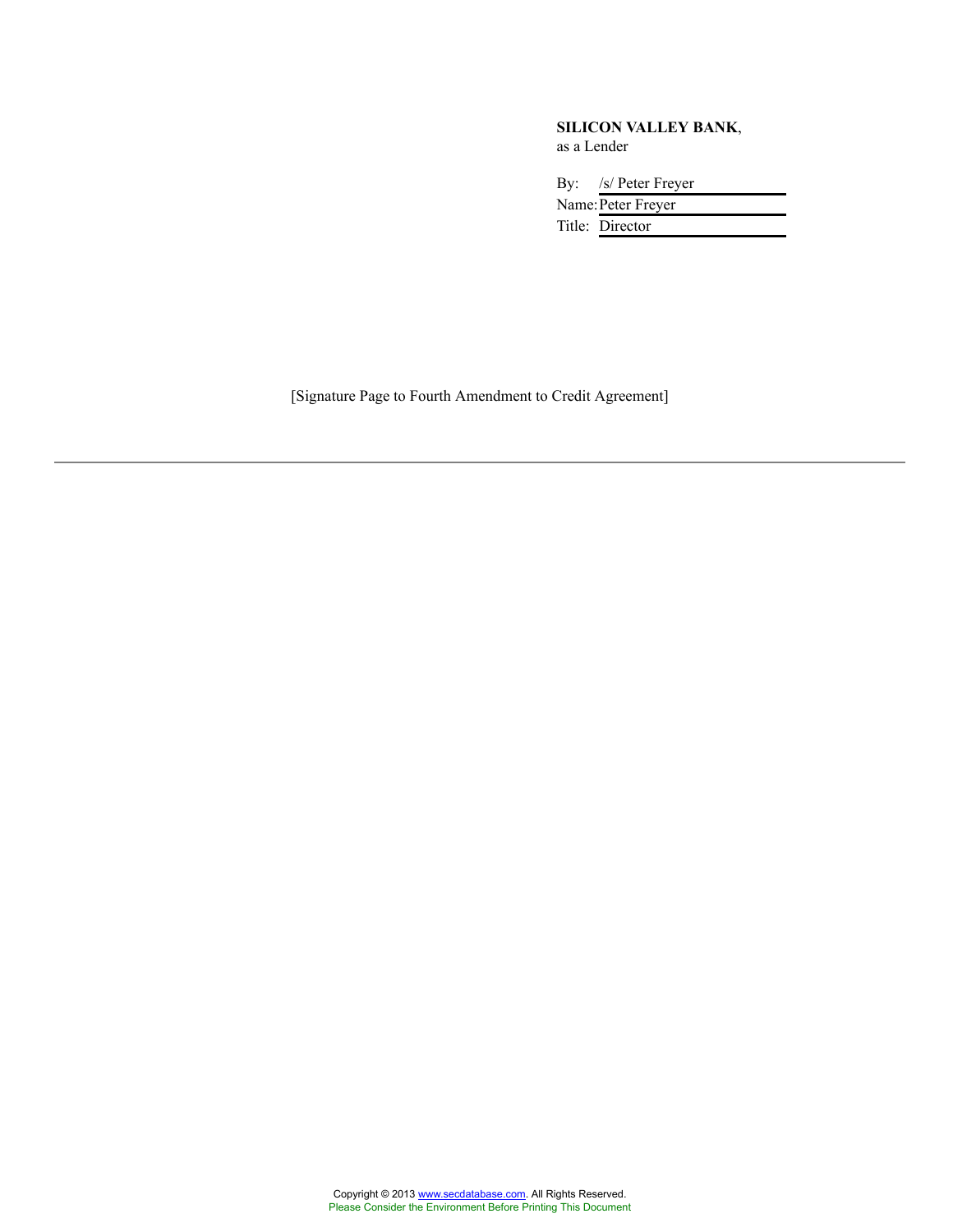#### **SILICON VALLEY BANK**, as a Lender

| By: /s/ Peter Freyer |  |
|----------------------|--|
| Name: Peter Freyer   |  |
| Title: Director      |  |

[Signature Page to Fourth Amendment to Credit Agreement]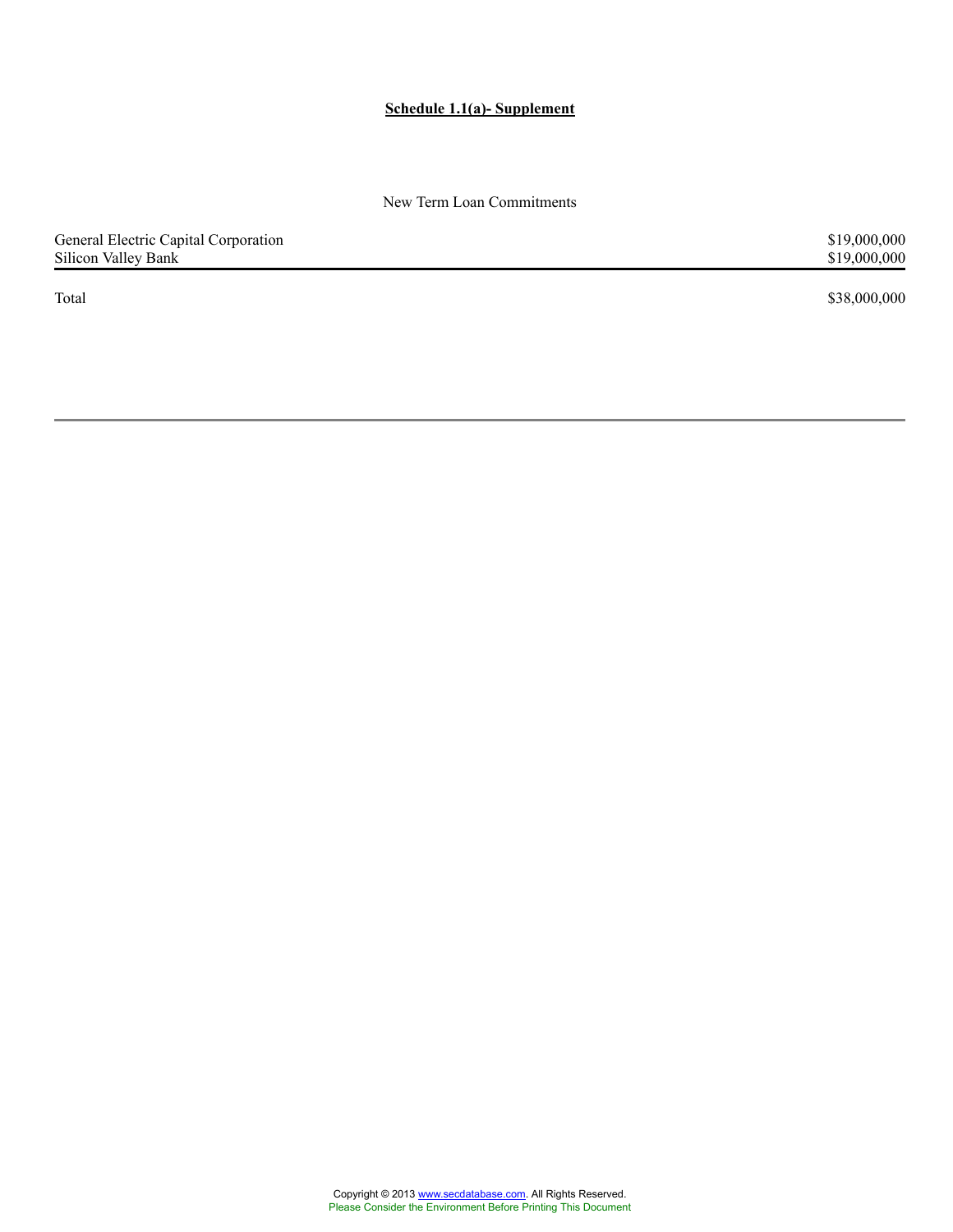# **Schedule 1.1(a)- Supplement**

New Term Loan Commitments

| General Electric Capital Corporation | \$19,000,000 |
|--------------------------------------|--------------|
| Silicon Valley Bank                  | \$19,000,000 |
| Total                                | \$38,000,000 |